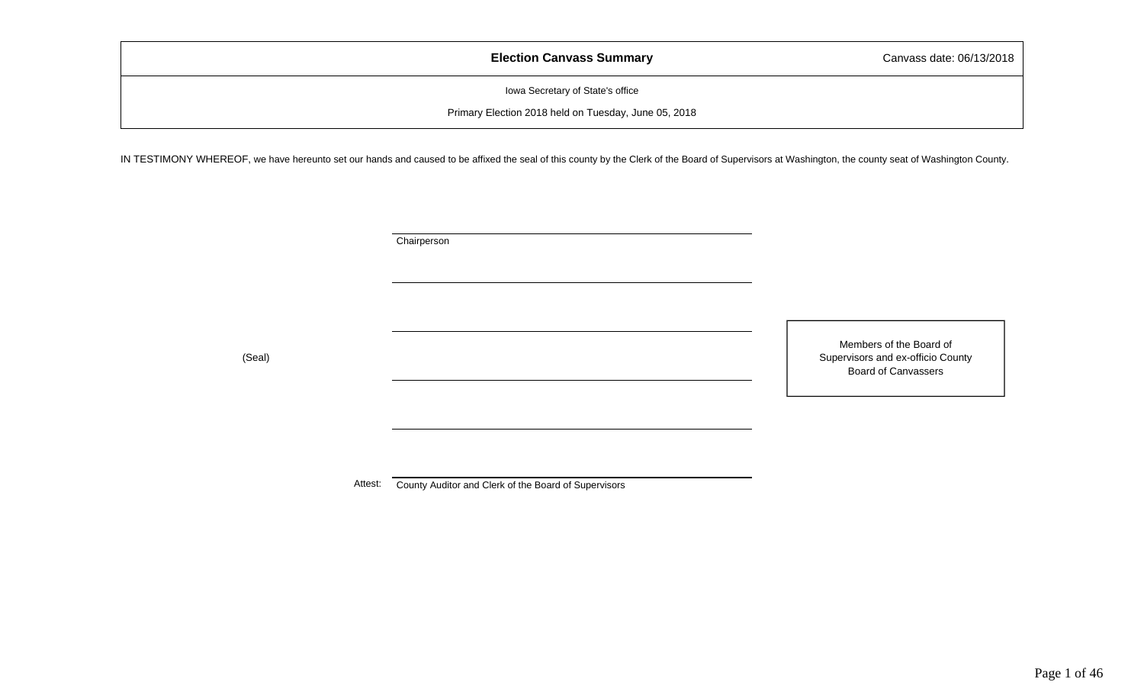| <b>Election Canvass Summary</b>                      | Canvass date: 06/13/2018 |
|------------------------------------------------------|--------------------------|
| Iowa Secretary of State's office                     |                          |
| Primary Election 2018 held on Tuesday, June 05, 2018 |                          |

IN TESTIMONY WHEREOF, we have hereunto set our hands and caused to be affixed the seal of this county by the Clerk of the Board of Supervisors at Washington, the county seat of Washington County.

**Chairperson** 

Members of the Board of Supervisors and ex-officio County Board of Canvassers

(Seal)

Attest: County Auditor and Clerk of the Board of Supervisors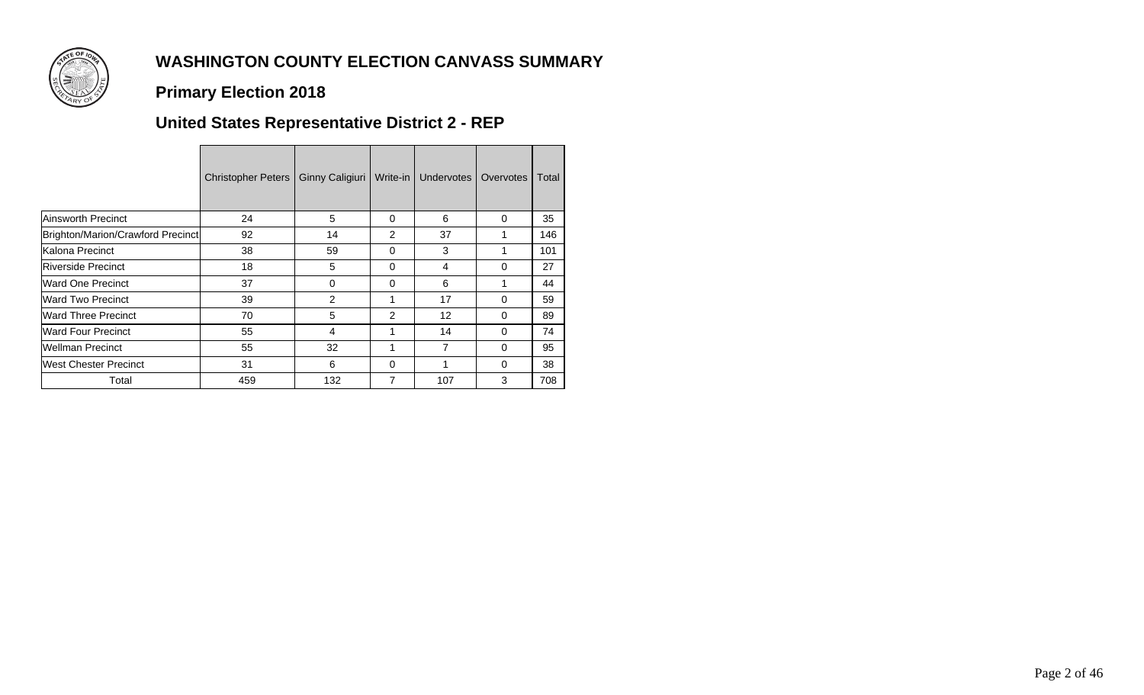

### **Primary Election 2018**

# **United States Representative District 2 - REP**

|                                   | <b>Christopher Peters</b> | <b>Ginny Caligiuri</b> | Write-in | Undervotes I | Overvotes | Total |
|-----------------------------------|---------------------------|------------------------|----------|--------------|-----------|-------|
| Ainsworth Precinct                | 24                        | 5                      | 0        | 6            | $\Omega$  | 35    |
| Brighton/Marion/Crawford Precinct | 92                        | 14                     | 2        | 37           |           | 146   |
| Kalona Precinct                   | 38                        | 59                     | 0        | 3            |           | 101   |
| <b>Riverside Precinct</b>         | 18                        | 5                      | 0        | 4            | $\Omega$  | 27    |
| <b>Ward One Precinct</b>          | 37                        | 0                      | 0        | 6            |           | 44    |
| <b>Ward Two Precinct</b>          | 39                        | 2                      | 1        | 17           | $\Omega$  | 59    |
| <b>IWard Three Precinct</b>       | 70                        | 5                      | 2        | 12           | $\Omega$  | 89    |
| <b>Ward Four Precinct</b>         | 55                        | 4                      | 1        | 14           | $\Omega$  | 74    |
| Wellman Precinct                  | 55                        | 32                     | 1        | 7            | $\Omega$  | 95    |
| <b>West Chester Precinct</b>      | 31                        | 6                      | 0        | 1            | $\Omega$  | 38    |
| Total                             | 459                       | 132                    | 7        | 107          | 3         | 708   |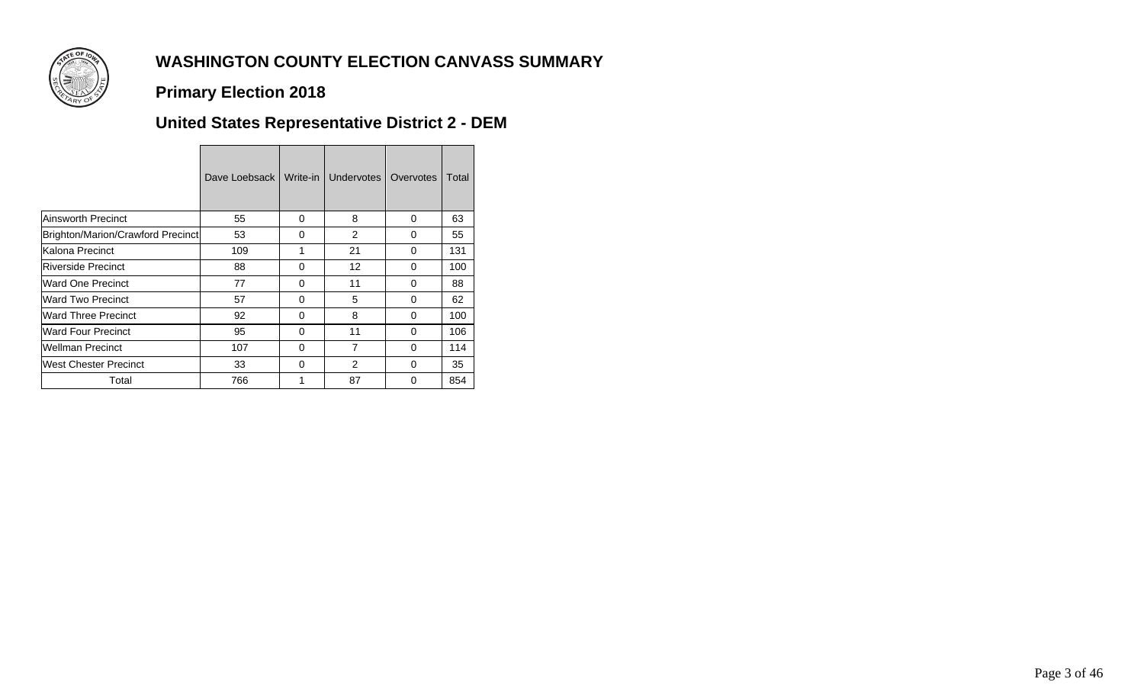

### **Primary Election 2018**

## **United States Representative District 2 - DEM**

|                                   | Dave Loebsack I | Write-in | <b>Undervotes</b> | Overvotes | Total |
|-----------------------------------|-----------------|----------|-------------------|-----------|-------|
| Ainsworth Precinct                | 55              | 0        | 8                 | 0         | 63    |
| Brighton/Marion/Crawford Precinct | 53              | 0        | 2                 | 0         | 55    |
| lKalona Precinct                  | 109             | 1        | 21                | 0         | 131   |
| <b>IRiverside Precinct</b>        | 88              | 0        | 12                | 0         | 100   |
| Ward One Precinct                 | 77              | 0        | 11                | $\Omega$  | 88    |
| Ward Two Precinct                 | 57              | 0        | 5                 | $\Omega$  | 62    |
| Ward Three Precinct               | 92              | 0        | 8                 | 0         | 100   |
| Ward Four Precinct                | 95              | 0        | 11                | 0         | 106   |
| Wellman Precinct                  | 107             | $\Omega$ | $\overline{7}$    | $\Omega$  | 114   |
| <b>IWest Chester Precinct</b>     | 33              | 0        | $\overline{2}$    | $\Omega$  | 35    |
| Total                             | 766             | 1        | 87                | $\Omega$  | 854   |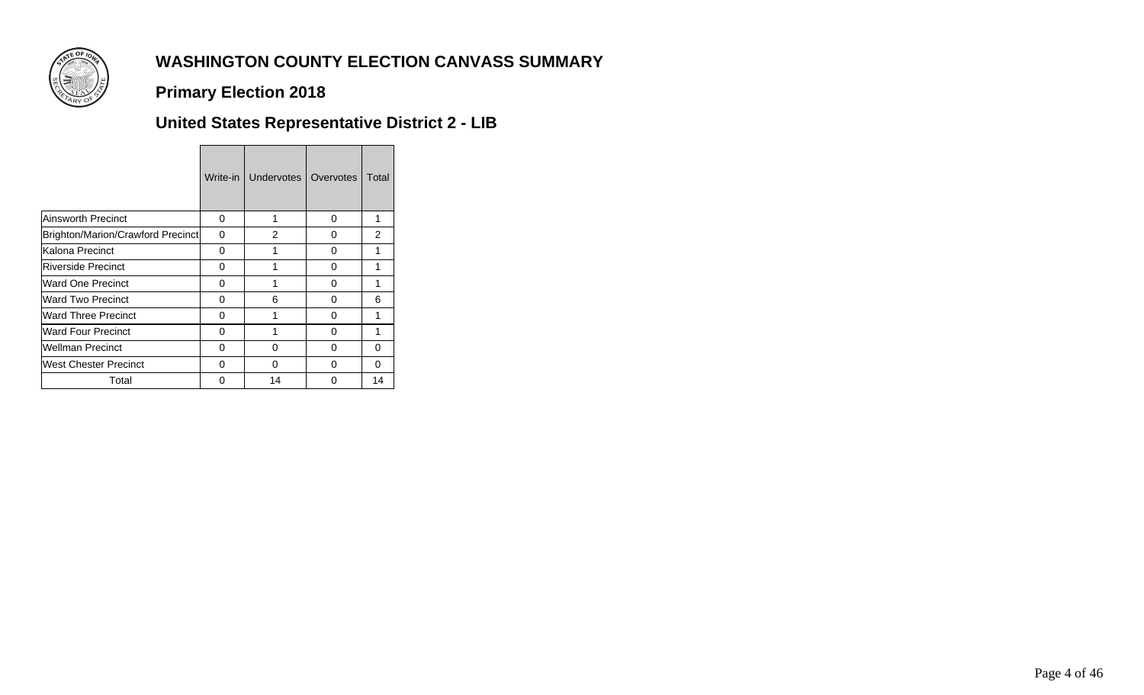

### **Primary Election 2018**

# **United States Representative District 2 - LIB**

|                                   | Write-in | Undervotes | Overvotes | Total          |
|-----------------------------------|----------|------------|-----------|----------------|
| <b>Ainsworth Precinct</b>         | 0        | 1          | 0         | 1              |
| Brighton/Marion/Crawford Precinct | 0        | 2          | 0         | $\overline{2}$ |
| Kalona Precinct                   | 0        | 1          | 0         | 1              |
| <b>Riverside Precinct</b>         | O        | 1          | 0         | 1              |
| Ward One Precinct                 | 0        | 1          | 0         | 1              |
| Ward Two Precinct                 | O        | 6          | 0         | 6              |
| <b>Ward Three Precinct</b>        | 0        | 1          | 0         | 1              |
| <b>Ward Four Precinct</b>         | O        | 1          | 0         | 1              |
| <b>Wellman Precinct</b>           | 0        | 0          | 0         | 0              |
| West Chester Precinct             | U        | 0          | 0         | O              |
| Total                             | n        | 14         | ი         | 14             |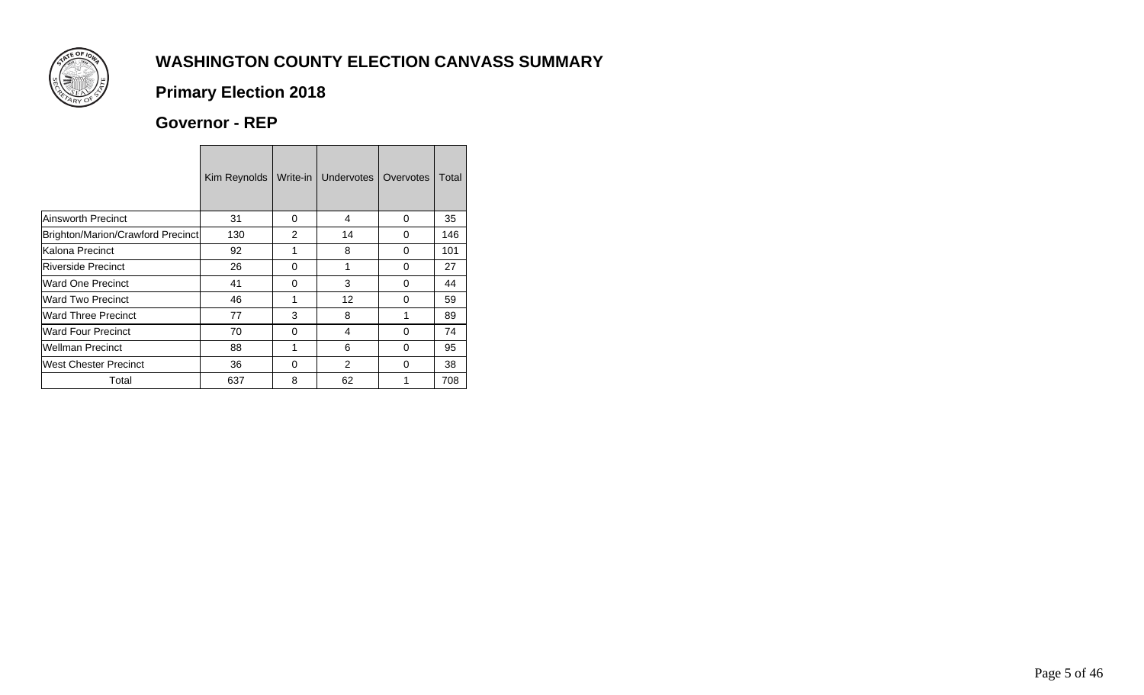

## **Primary Election 2018**

### **Governor - REP**

|                                   | Kim Reynolds | Write-in I     | Undervotes     | Overvotes | Total |
|-----------------------------------|--------------|----------------|----------------|-----------|-------|
| <b>Ainsworth Precinct</b>         | 31           | 0              | 4              | 0         | 35    |
| Brighton/Marion/Crawford Precinct | 130          | $\overline{2}$ | 14             | 0         | 146   |
| Kalona Precinct                   | 92           | 1              | 8              | 0         | 101   |
| Riverside Precinct                | 26           | 0              | 1              | 0         | 27    |
| Ward One Precinct                 | 41           | 0              | 3              | 0         | 44    |
| <b>Ward Two Precinct</b>          | 46           | 1              | 12             | 0         | 59    |
| <b>Ward Three Precinct</b>        | 77           | 3              | 8              |           | 89    |
| <b>Ward Four Precinct</b>         | 70           | 0              | 4              | 0         | 74    |
| <b>Wellman Precinct</b>           | 88           | 1              | 6              | 0         | 95    |
| West Chester Precinct             | 36           | 0              | $\overline{2}$ | 0         | 38    |
| Total                             | 637          | 8              | 62             |           | 708   |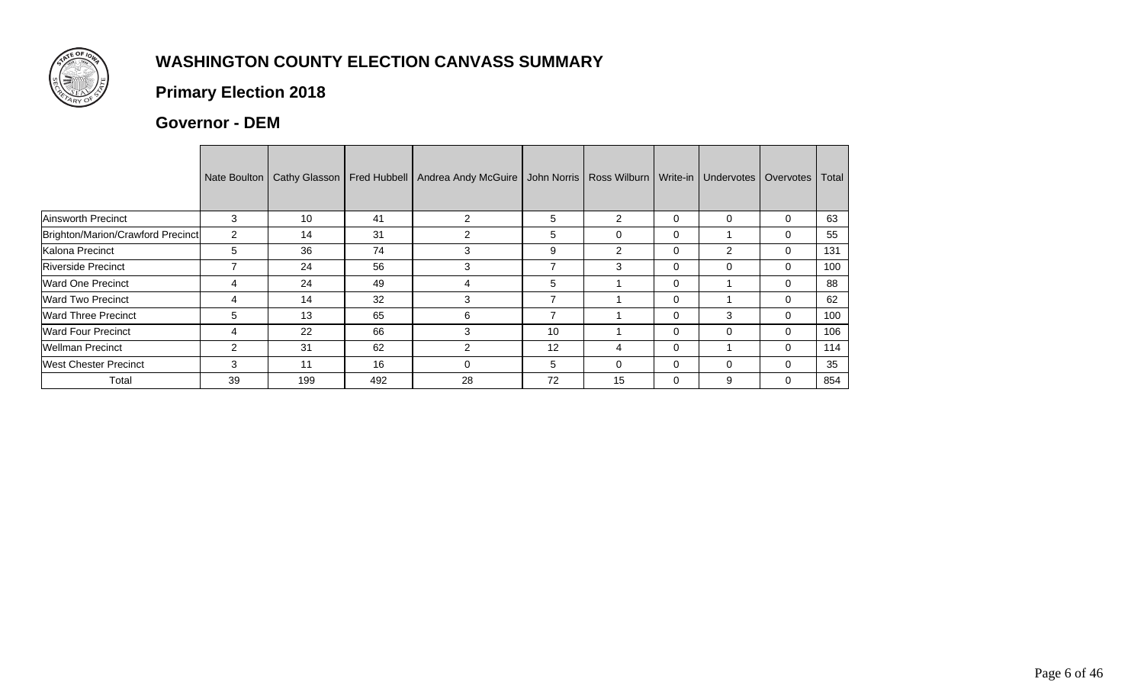

## **Primary Election 2018**

#### **Governor - DEM**

|                                   | Nate Boulton   | Cathy Glasson | <b>Fred Hubbell</b> | Andrea Andy McGuire | John Norris | Ross Wilburn   Write-in   Undervotes |              |                | Overvotes | Total |
|-----------------------------------|----------------|---------------|---------------------|---------------------|-------------|--------------------------------------|--------------|----------------|-----------|-------|
| Ainsworth Precinct                | 3              | 10            | 41                  | 2                   | 5           | 2                                    | $\Omega$     | $\Omega$       | 0         | 63    |
| Brighton/Marion/Crawford Precinct | $\overline{2}$ | 14            | 31                  | $\mathfrak{p}$      | 5           | 0                                    | $\Omega$     |                | 0         | 55    |
| Kalona Precinct                   | 5              | 36            | 74                  | 3                   | 9           | 2                                    | $\Omega$     | $\overline{2}$ | 0         | 131   |
| <b>Riverside Precinct</b>         |                | 24            | 56                  | 3                   | 7           | 3                                    | $\Omega$     | $\Omega$       | 0         | 100   |
| Ward One Precinct                 | 4              | 24            | 49                  | 4                   | 5           |                                      | $\mathbf{0}$ |                | 0         | 88    |
| Ward Two Precinct                 | 4              | 14            | 32                  | 3                   | 7           |                                      | $\mathbf{0}$ |                | 0         | 62    |
| <b>Ward Three Precinct</b>        | 5              | 13            | 65                  | 6                   | 7           |                                      | $\mathbf{0}$ | 3              | 0         | 100   |
| <b>Ward Four Precinct</b>         | 4              | 22            | 66                  | 3                   | 10          |                                      | $\mathbf{0}$ | $\Omega$       | 0         | 106   |
| <b>Wellman Precinct</b>           | $\overline{2}$ | 31            | 62                  | 2                   | 12          | 4                                    | $\mathbf{0}$ |                | 0         | 114   |
| <b>West Chester Precinct</b>      | 3              | 11            | 16                  | ი                   | 5           | 0                                    | $\mathbf{0}$ | $\Omega$       | 0         | 35    |
| Total                             | 39             | 199           | 492                 | 28                  | 72          | 15                                   | $\mathbf{0}$ | 9              | 0         | 854   |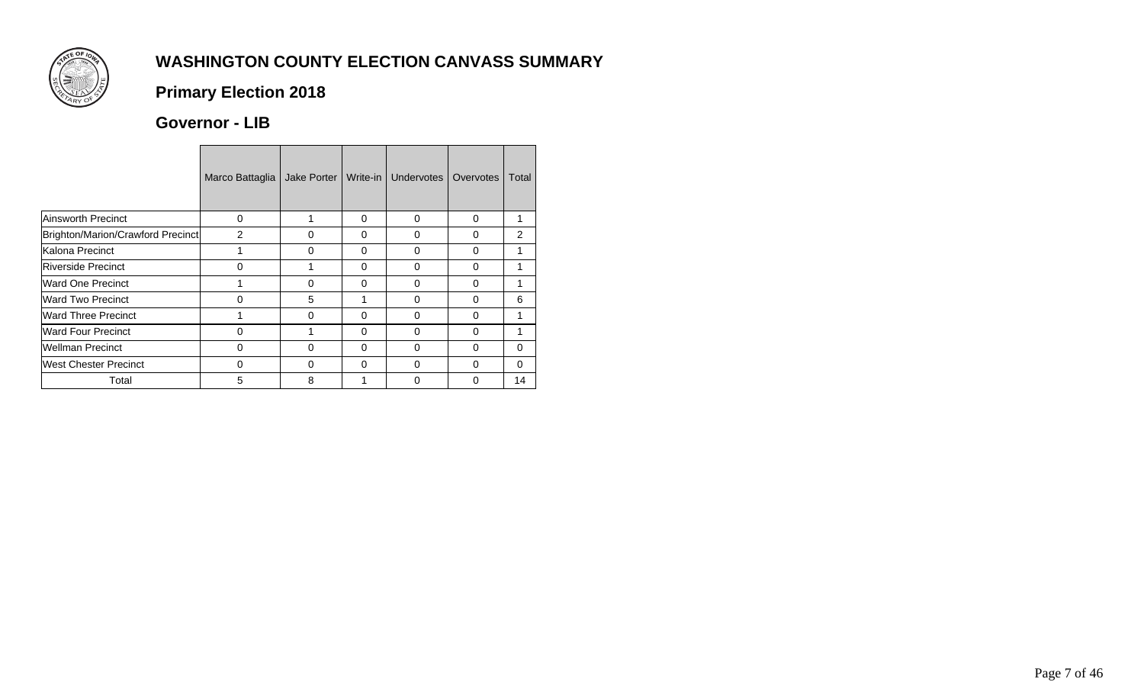

## **Primary Election 2018**

#### **Governor - LIB**

|                                   | Marco Battaglia | Jake Porter | Write-in I | Undervotes I | Overvotes | Total    |
|-----------------------------------|-----------------|-------------|------------|--------------|-----------|----------|
| Ainsworth Precinct                | $\Omega$        |             | $\Omega$   | $\Omega$     | $\Omega$  | 1        |
| Brighton/Marion/Crawford Precinct | $\overline{2}$  | 0           | $\Omega$   | 0            | 0         | 2        |
| Kalona Precinct                   |                 | 0           | $\Omega$   | $\Omega$     | 0         | 1        |
| Riverside Precinct                | U               |             | $\Omega$   | 0            | O         | 1        |
| Ward One Precinct                 |                 | $\Omega$    | $\Omega$   | 0            | 0         | 1        |
| <b>Ward Two Precinct</b>          |                 | 5           |            | O            | O         | 6        |
| <b>Ward Three Precinct</b>        |                 | 0           | $\Omega$   | 0            | 0         | 1        |
| <b>Ward Four Precinct</b>         | $\Omega$        |             | $\Omega$   | 0            | 0         | 1        |
| Wellman Precinct                  | $\Omega$        | 0           | $\Omega$   | 0            | 0         | 0        |
| West Chester Precinct             | $\Omega$        | $\Omega$    | $\Omega$   | $\Omega$     | 0         | $\Omega$ |
| Total                             | 5               | 8           |            | 0            | 0         | 14       |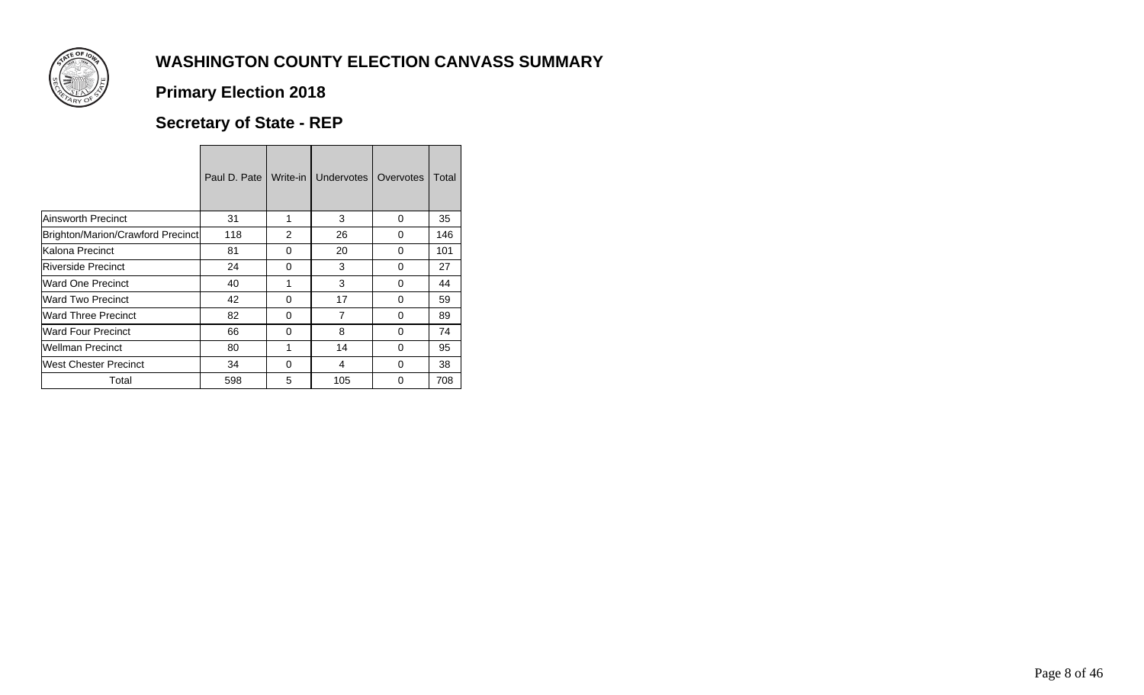

## **Primary Election 2018**

## **Secretary of State - REP**

|                                   | Paul D. Pate I | Write-in I    | <b>Undervotes</b> | Overvotes | Total |
|-----------------------------------|----------------|---------------|-------------------|-----------|-------|
| <b>Ainsworth Precinct</b>         | 31             | 1             | 3                 | 0         | 35    |
| Brighton/Marion/Crawford Precinct | 118            | $\mathcal{P}$ | 26                | $\Omega$  | 146   |
| Kalona Precinct                   | 81             | 0             | 20                | 0         | 101   |
| Riverside Precinct                | 24             | $\Omega$      | 3                 | $\Omega$  | 27    |
| Ward One Precinct                 | 40             |               | 3                 | 0         | 44    |
| Ward Two Precinct                 | 42             | $\Omega$      | 17                | $\Omega$  | 59    |
| <b>Ward Three Precinct</b>        | 82             | $\Omega$      | 7                 | 0         | 89    |
| <b>Ward Four Precinct</b>         | 66             | $\Omega$      | 8                 | $\Omega$  | 74    |
| <b>Wellman Precinct</b>           | 80             |               | 14                | $\Omega$  | 95    |
| West Chester Precinct             | 34             | $\Omega$      | 4                 | 0         | 38    |
| Total                             | 598            | 5             | 105               | 0         | 708   |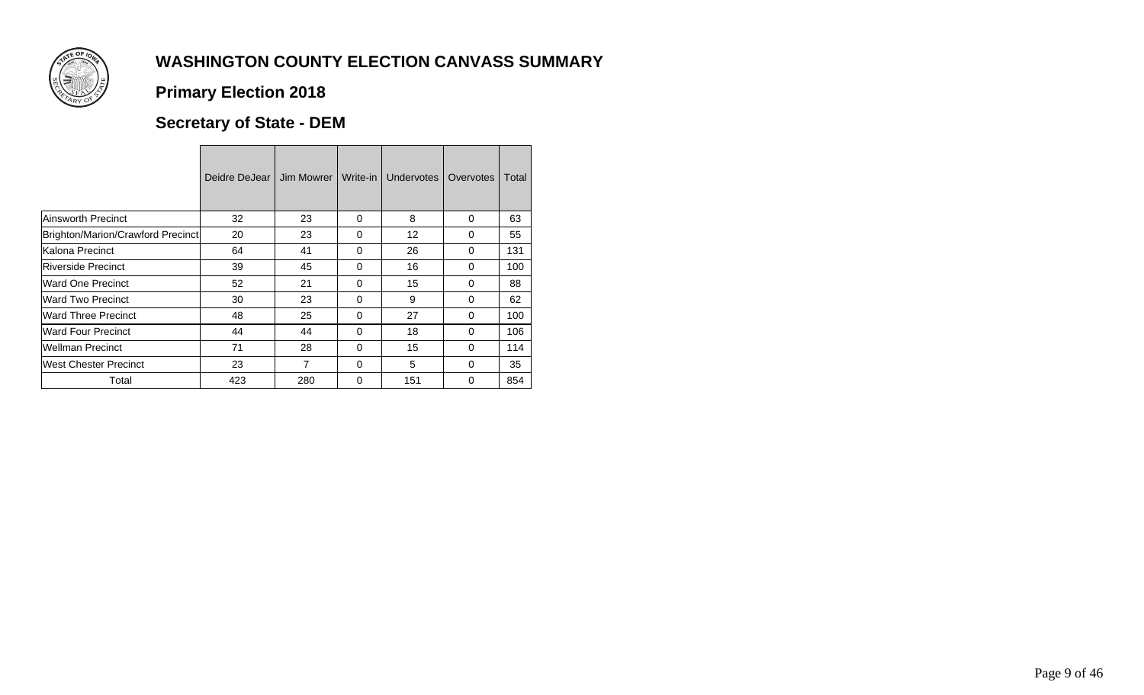

## **Primary Election 2018**

## **Secretary of State - DEM**

|                                   | Deidre DeJear I | Jim Mowrer     | Write-in | Undervotes | Overvotes | Total |
|-----------------------------------|-----------------|----------------|----------|------------|-----------|-------|
| Ainsworth Precinct                | 32              | 23             | 0        | 8          | $\Omega$  | 63    |
| Brighton/Marion/Crawford Precinct | 20              | 23             | $\Omega$ | 12         | $\Omega$  | 55    |
| Kalona Precinct                   | 64              | 41             | 0        | 26         | $\Omega$  | 131   |
| <b>Riverside Precinct</b>         | 39              | 45             | $\Omega$ | 16         | $\Omega$  | 100   |
| Ward One Precinct                 | 52              | 21             | 0        | 15         | $\Omega$  | 88    |
| <b>Ward Two Precinct</b>          | 30              | 23             | $\Omega$ | 9          | $\Omega$  | 62    |
| Ward Three Precinct               | 48              | 25             | $\Omega$ | 27         | $\Omega$  | 100   |
| <b>Ward Four Precinct</b>         | 44              | 44             | $\Omega$ | 18         | $\Omega$  | 106   |
| Wellman Precinct                  | 71              | 28             | 0        | 15         | $\Omega$  | 114   |
| West Chester Precinct             | 23              | $\overline{7}$ | $\Omega$ | 5          | $\Omega$  | 35    |
| Total                             | 423             | 280            | 0        | 151        | 0         | 854   |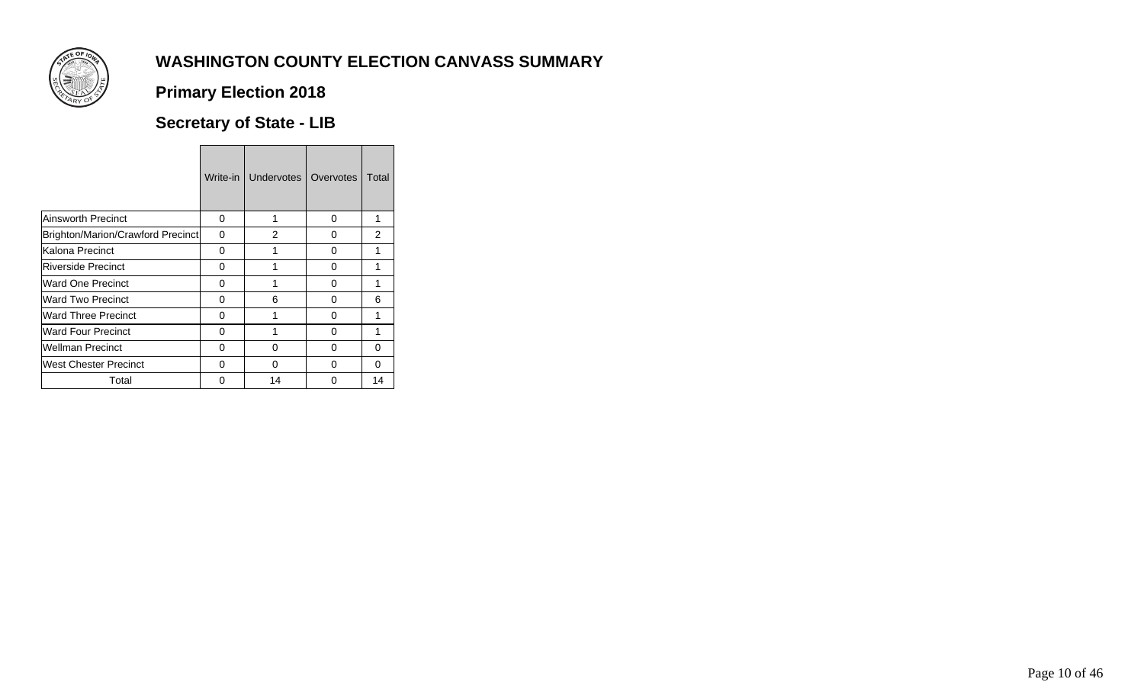

## **Primary Election 2018**

### **Secretary of State - LIB**

|                                   | Write-in | <b>Undervotes</b> | Overvotes | Total          |
|-----------------------------------|----------|-------------------|-----------|----------------|
| <b>Ainsworth Precinct</b>         | 0        | 1                 | 0         | 1              |
| Brighton/Marion/Crawford Precinct | 0        | 2                 | 0         | $\overline{2}$ |
| Kalona Precinct                   | 0        | 1                 | 0         | 1              |
| <b>Riverside Precinct</b>         | O        | 1                 | 0         | 1              |
| Ward One Precinct                 | 0        | 1                 | 0         | 1              |
| Ward Two Precinct                 | O        | 6                 | 0         | 6              |
| <b>Ward Three Precinct</b>        | 0        |                   | 0         | 1              |
| <b>Ward Four Precinct</b>         | O        | 1                 | 0         | 1              |
| <b>Wellman Precinct</b>           | 0        | 0                 | $\Omega$  | 0              |
| West Chester Precinct             | O        | O                 | 0         | $\Omega$       |
| Total                             | O        | 14                | O         | 14             |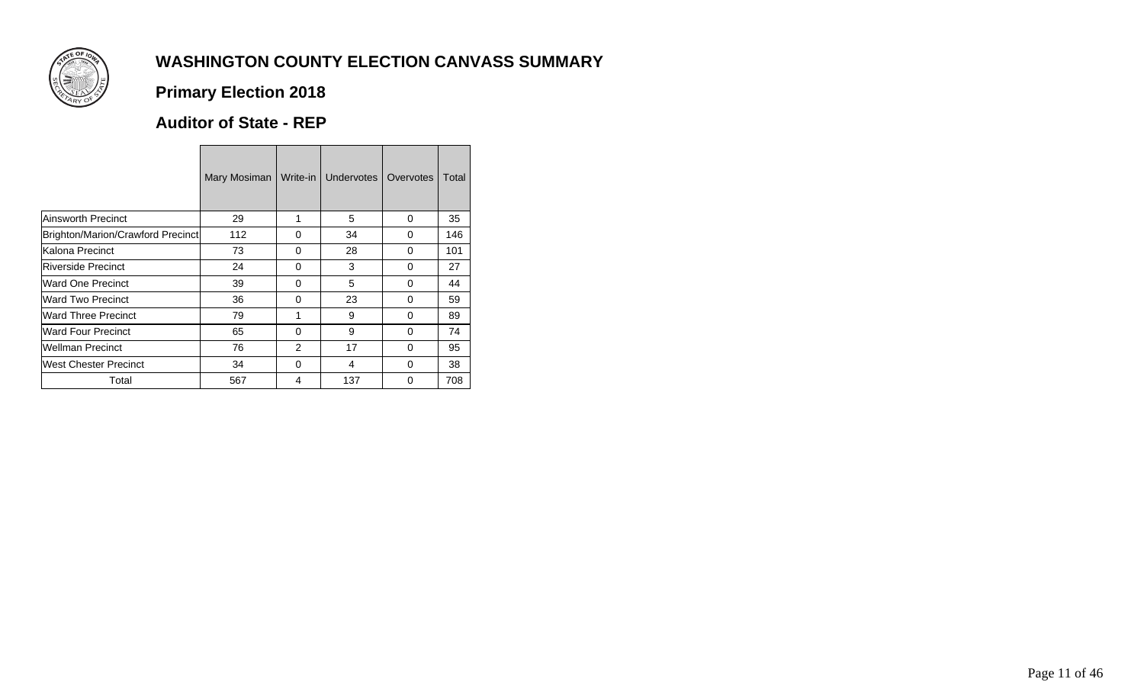

## **Primary Election 2018**

#### **Auditor of State - REP**

|                                   | Mary Mosiman | Write-in | Undervotes | Overvotes | Total |
|-----------------------------------|--------------|----------|------------|-----------|-------|
| Ainsworth Precinct                | 29           | 1        | 5          | 0         | 35    |
| Brighton/Marion/Crawford Precinct | 112          | 0        | 34         | $\Omega$  | 146   |
| lKalona Precinct                  | 73           | 0        | 28         | 0         | 101   |
| <b>IRiverside Precinct</b>        | 24           | 0        | 3          | $\Omega$  | 27    |
| Ward One Precinct                 | 39           | 0        | 5          | 0         | 44    |
| Ward Two Precinct                 | 36           | $\Omega$ | 23         | $\Omega$  | 59    |
| Ward Three Precinct               | 79           | 1        | 9          | 0         | 89    |
| Ward Four Precinct                | 65           | 0        | 9          | $\Omega$  | 74    |
| Wellman Precinct                  | 76           | 2        | 17         | 0         | 95    |
| lWest Chester Precinct            | 34           | 0        | 4          | 0         | 38    |
| Total                             | 567          | 4        | 137        | 0         | 708   |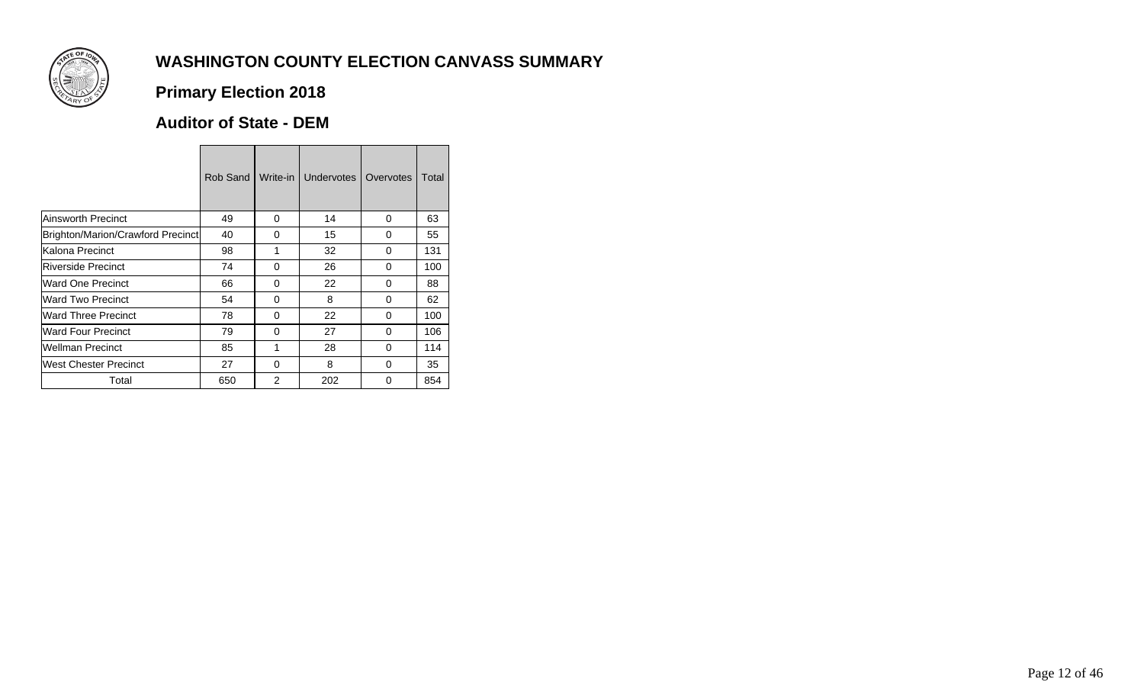

## **Primary Election 2018**

#### **Auditor of State - DEM**

|                                   | Rob Sand | Write-in       | Undervotes | Overvotes | Total |
|-----------------------------------|----------|----------------|------------|-----------|-------|
| <b>Ainsworth Precinct</b>         | 49       | $\Omega$       | 14         | 0         | 63    |
| Brighton/Marion/Crawford Precinct | 40       | $\Omega$       | 15         | $\Omega$  | 55    |
| Kalona Precinct                   | 98       | 1              | 32         | 0         | 131   |
| <b>Riverside Precinct</b>         | 74       | $\Omega$       | 26         | $\Omega$  | 100   |
| Ward One Precinct                 | 66       | 0              | 22         | 0         | 88    |
| <b>Ward Two Precinct</b>          | 54       | $\Omega$       | 8          | $\Omega$  | 62    |
| Ward Three Precinct               | 78       | 0              | 22         | 0         | 100   |
| Ward Four Precinct                | 79       | $\Omega$       | 27         | 0         | 106   |
| <b>Wellman Precinct</b>           | 85       | 1              | 28         | 0         | 114   |
| West Chester Precinct             | 27       | $\Omega$       | 8          | 0         | 35    |
| Total                             | 650      | $\mathfrak{p}$ | 202        | 0         | 854   |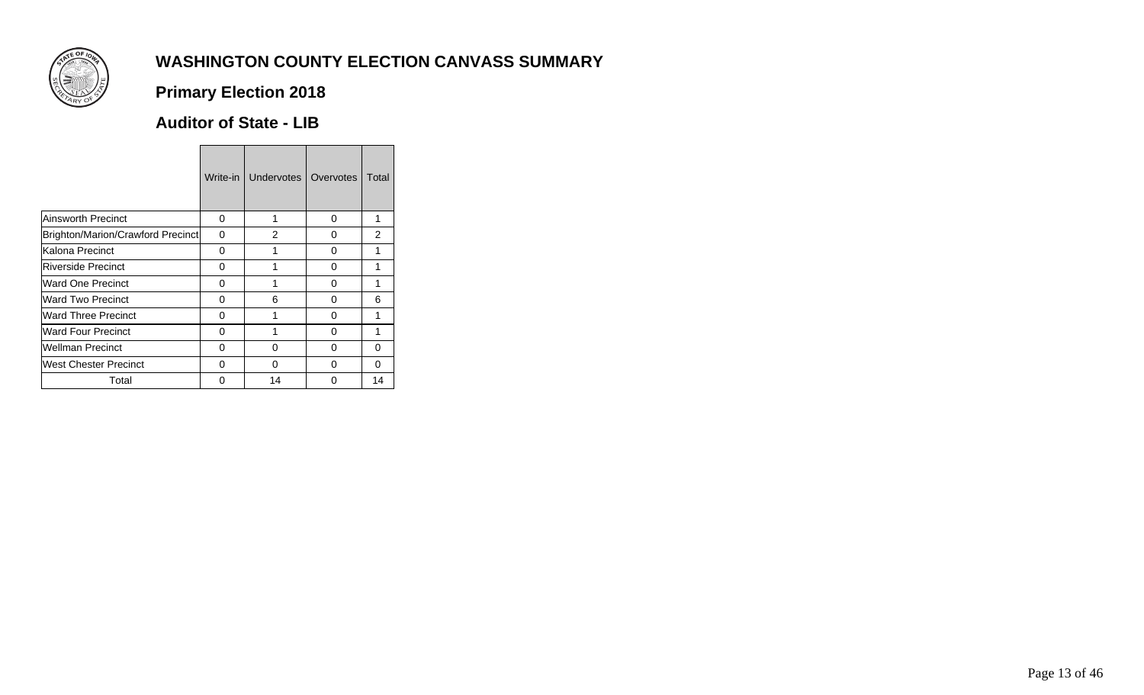

## **Primary Election 2018**

### **Auditor of State - LIB**

|                                   | Write-in | Undervotes | Overvotes | Total         |
|-----------------------------------|----------|------------|-----------|---------------|
| <b>Ainsworth Precinct</b>         | 0        | 1          | 0         | 1             |
| Brighton/Marion/Crawford Precinct | $\Omega$ | 2          | 0         | $\mathcal{P}$ |
| Kalona Precinct                   | 0        |            | 0         | 1             |
| <b>Riverside Precinct</b>         | O        | 1          | 0         | 1             |
| Ward One Precinct                 | 0        |            | 0         | 1             |
| <b>Ward Two Precinct</b>          | O        | 6          | 0         | 6             |
| <b>Ward Three Precinct</b>        | 0        |            | $\Omega$  | 1             |
| <b>Ward Four Precinct</b>         | O        | 1          | 0         | 1             |
| <b>Wellman Precinct</b>           | 0        | 0          | 0         | 0             |
| <b>West Chester Precinct</b>      | O        | O          | O         | $\Omega$      |
| Total                             | O        | 14         | O         | 14            |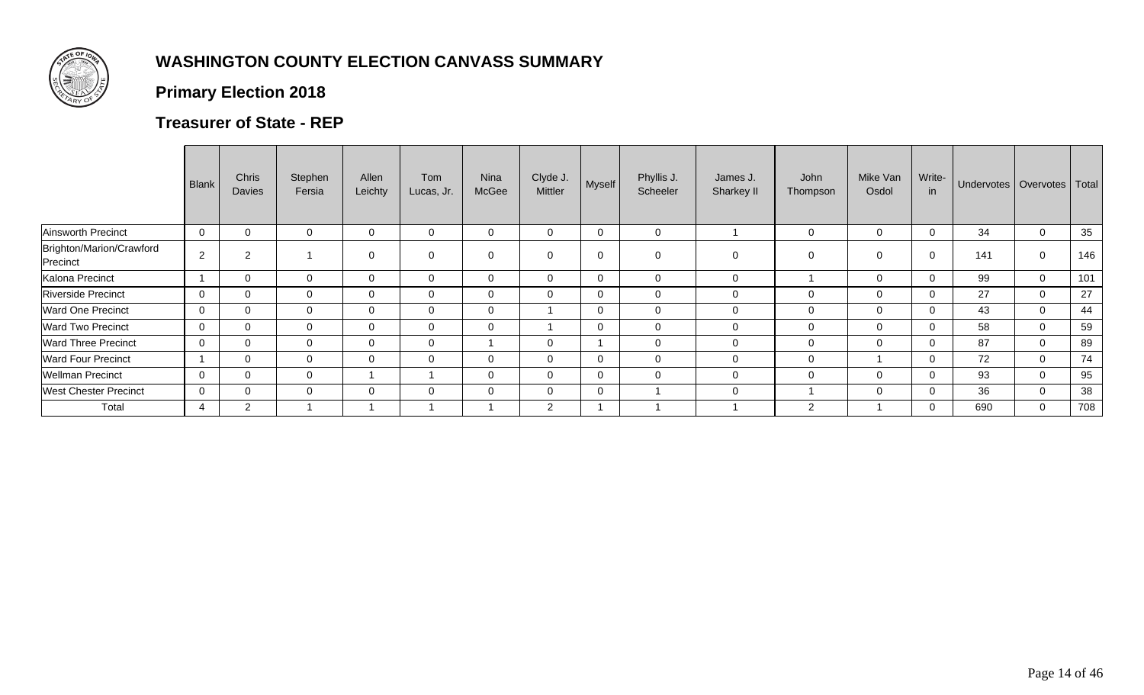

## **Primary Election 2018**

### **Treasurer of State - REP**

|                                      | Blank          | Chris<br><b>Davies</b> | Stephen<br>Fersia | Allen<br>Leichty | Tom<br>Lucas, Jr. | <b>Nina</b><br>McGee | Clyde J.<br>Mittler | Myself   | Phyllis J.<br>Scheeler | James J.<br>Sharkey II | John<br>Thompson | Mike Van<br>Osdol | Write-<br>in | Undervotes   Overvotes   Total |             |     |
|--------------------------------------|----------------|------------------------|-------------------|------------------|-------------------|----------------------|---------------------|----------|------------------------|------------------------|------------------|-------------------|--------------|--------------------------------|-------------|-----|
| Ainsworth Precinct                   | $\overline{0}$ | $\mathbf 0$            |                   | 0                | 0                 | $\Omega$             | 0                   | 0        | $\mathbf 0$            |                        | $\mathbf 0$      | 0                 | $\mathbf 0$  | 34                             | $\mathbf 0$ | 35  |
| Brighton/Marion/Crawford<br>Precinct | $\overline{2}$ | 2                      |                   | $\mathbf 0$      | 0                 | $\mathbf 0$          | $\mathbf 0$         | 0        | $\mathbf 0$            | 0                      | 0                | $\Omega$          | 0            | 141                            | $\mathbf 0$ | 146 |
| Kalona Precinct                      |                | 0                      | -0                | $\mathbf 0$      | 0                 | $\mathbf 0$          | 0                   |          | $\mathbf 0$            | 0                      |                  | $\mathbf{0}$      | $\mathbf{0}$ | 99                             | $\mathbf 0$ | 101 |
| <b>Riverside Precinct</b>            | $\mathbf 0$    | $\mathbf 0$            | $\Omega$          | 0                | 0                 | 0                    | 0                   |          | $\mathbf 0$            | 0                      | 0                | $\Omega$          | 0            | 27                             | $\mathbf 0$ | 27  |
| <b>Ward One Precinct</b>             | $\mathbf 0$    | $\mathbf 0$            | $\Omega$          | $\mathbf{0}$     | 0                 | $\mathbf{0}$         |                     | 0        | $\mathbf 0$            | $\mathbf 0$            | $\mathbf{0}$     | $\Omega$          | $\Omega$     | 43                             | $\mathbf 0$ | 44  |
| <b>Ward Two Precinct</b>             | $\mathbf 0$    | $\mathbf 0$            | $\mathbf 0$       | $\mathbf{0}$     | 0                 | 0                    |                     | 0        | $\mathbf 0$            | 0                      | $\mathbf 0$      | $\Omega$          | 0            | 58                             | $\mathbf 0$ | 59  |
| <b>Ward Three Precinct</b>           | $\overline{0}$ | $\mathbf 0$            | $\Omega$          | $\Omega$         | 0                 |                      | $\Omega$            |          | $\Omega$               | $\mathbf 0$            | $\mathbf 0$      | $\Omega$          | $\Omega$     | 87                             | $\mathbf 0$ | 89  |
| <b>Ward Four Precinct</b>            |                | 0                      | $\mathbf 0$       | $\mathbf 0$      | 0                 | $\Omega$             | $\mathbf 0$         |          | $\mathbf 0$            | 0                      | $\mathbf 0$      |                   | $\Omega$     | 72                             | $\mathbf 0$ | 74  |
| <b>Wellman Precinct</b>              | $\mathbf 0$    | $\mathbf 0$            | $\mathbf 0$       |                  |                   | $\mathbf 0$          | $\mathbf 0$         | $\Omega$ | $\mathbf 0$            | $\mathbf 0$            | $\mathbf 0$      | $\Omega$          | 0            | 93                             | $\mathbf 0$ | 95  |
| <b>West Chester Precinct</b>         | $\overline{0}$ | $\mathbf 0$            | $\Omega$          | $\mathbf{0}$     | 0                 | $\mathbf{0}$         | 0                   | $\Omega$ |                        | $\mathbf{0}$           |                  | $\Omega$          | $\Omega$     | 36                             | $\mathbf 0$ | 38  |
| Total                                | 4              | $\overline{2}$         |                   |                  |                   |                      | $\overline{2}$      |          |                        |                        | $\overline{2}$   |                   | $\Omega$     | 690                            | $\mathbf 0$ | 708 |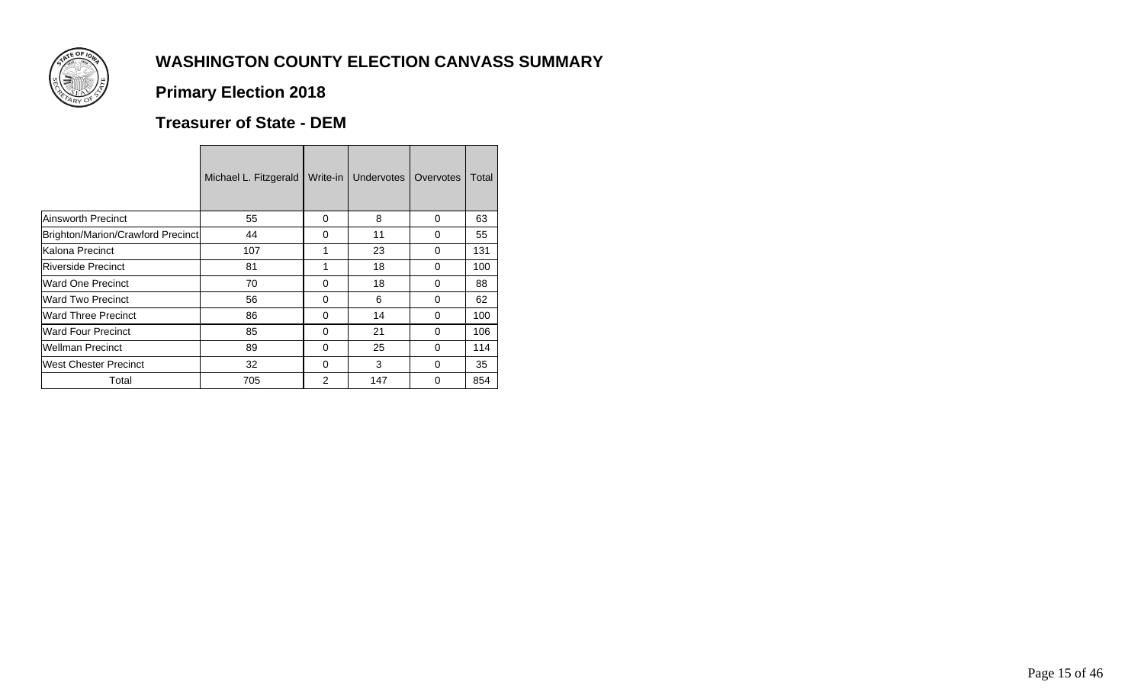

## **Primary Election 2018**

## **Treasurer of State - DEM**

|                                   | Michael L. Fitzgerald | Write-in      | <b>Undervotes</b> | Overvotes | Total |
|-----------------------------------|-----------------------|---------------|-------------------|-----------|-------|
| Ainsworth Precinct                | 55                    | 0             | 8                 | 0         | 63    |
| Brighton/Marion/Crawford Precinct | 44                    | $\Omega$      | 11                | 0         | 55    |
| Kalona Precinct                   | 107                   |               | 23                | 0         | 131   |
| Riverside Precinct                | 81                    | 1             | 18                | 0         | 100   |
| Ward One Precinct                 | 70                    | 0             | 18                | 0         | 88    |
| Ward Two Precinct                 | 56                    | $\Omega$      | 6                 | 0         | 62    |
| Ward Three Precinct               | 86                    | 0             | 14                | 0         | 100   |
| <b>Ward Four Precinct</b>         | 85                    | $\Omega$      | 21                | 0         | 106   |
| Wellman Precinct                  | 89                    | 0             | 25                | 0         | 114   |
| West Chester Precinct             | 32                    | 0             | 3                 | 0         | 35    |
| Total                             | 705                   | $\mathcal{P}$ | 147               | 0         | 854   |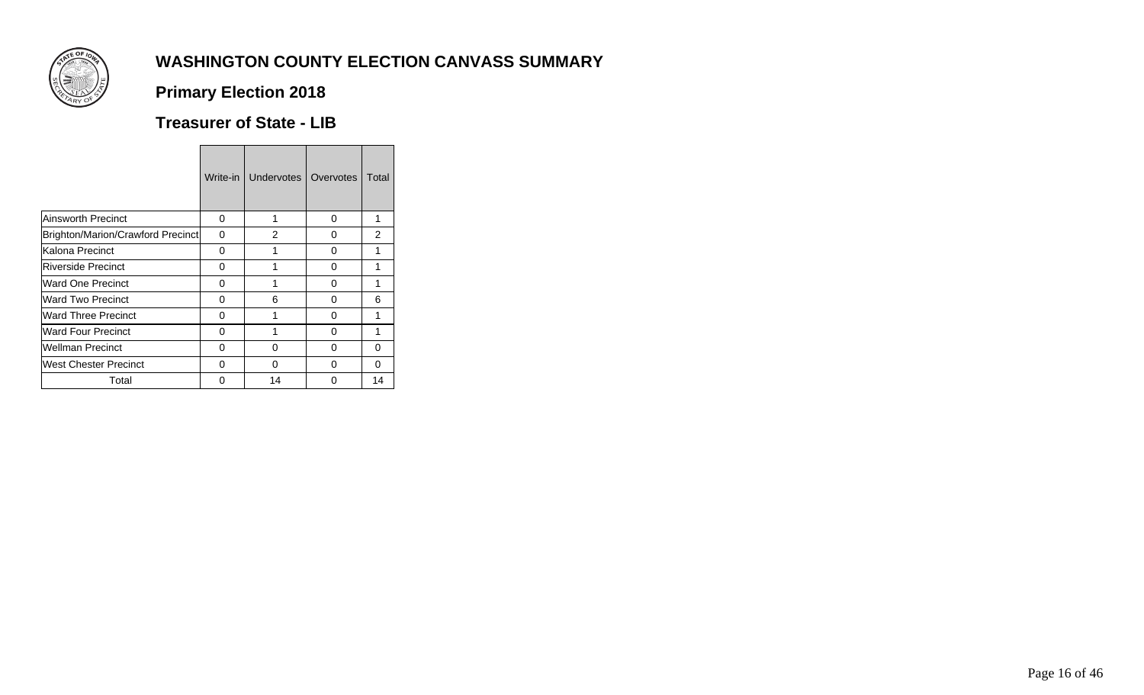

## **Primary Election 2018**

### **Treasurer of State - LIB**

|                                   | Write-in | Undervotes | Overvotes | Total         |
|-----------------------------------|----------|------------|-----------|---------------|
| Ainsworth Precinct                | 0        | 1          | $\Omega$  | 1             |
| Brighton/Marion/Crawford Precinct | 0        | 2          | 0         | $\mathcal{P}$ |
| Kalona Precinct                   | 0        |            | 0         | 1             |
| <b>Riverside Precinct</b>         | 0        |            | 0         | 1             |
| Ward One Precinct                 | 0        |            | 0         | 1             |
| Ward Two Precinct                 | 0        | 6          | 0         | 6             |
| <b>Ward Three Precinct</b>        | 0        |            | 0         | 1             |
| <b>Ward Four Precinct</b>         | 0        |            | 0         | 1             |
| <b>Wellman Precinct</b>           | 0        | 0          | 0         | 0             |
| West Chester Precinct             | 0        | O          | 0         | 0             |
| Total                             | O        | 14         | O         | 14            |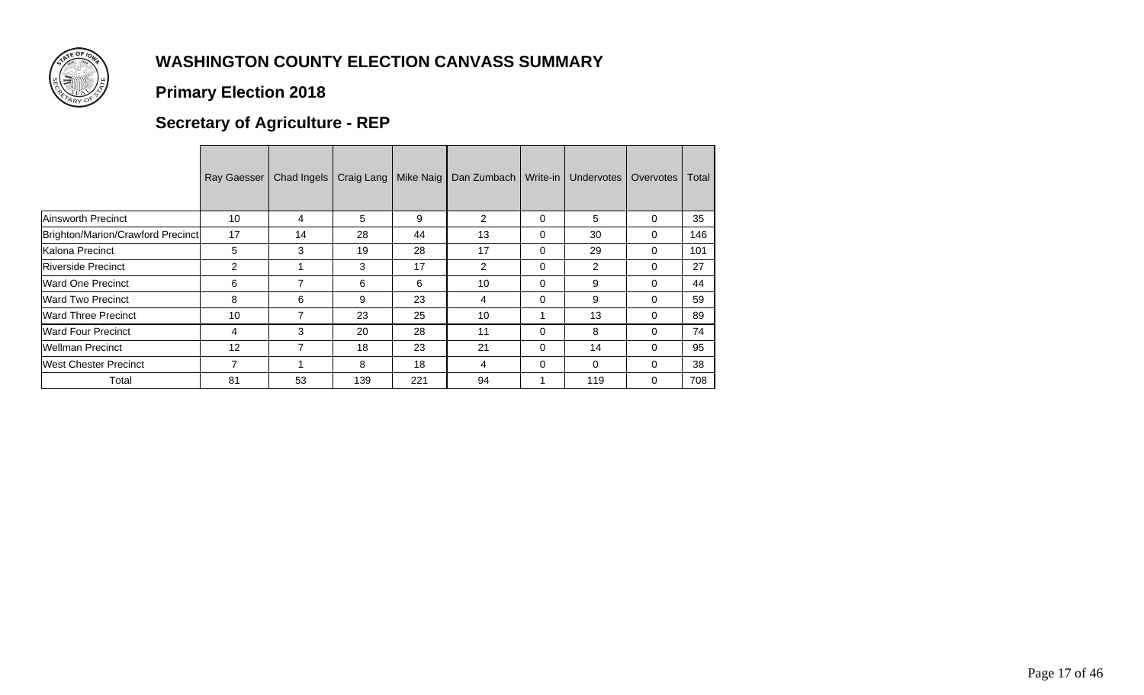

### **Primary Election 2018**

## **Secretary of Agriculture - REP**

|                                   | Ray Gaesser    | Chad Ingels    | Craig Lang | Mike Naig | Dan Zumbach    | Write-in | Undervotes     | Overvotes | Total |
|-----------------------------------|----------------|----------------|------------|-----------|----------------|----------|----------------|-----------|-------|
| Ainsworth Precinct                | 10             | 4              | 5          | 9         | $\overline{2}$ | $\Omega$ | 5              | 0         | 35    |
| Brighton/Marion/Crawford Precinct | 17             | 14             | 28         | 44        | 13             | $\Omega$ | 30             | 0         | 146   |
| Kalona Precinct                   | 5              | 3              | 19         | 28        | 17             | $\Omega$ | 29             | 0         | 101   |
| <b>Riverside Precinct</b>         | $\overline{c}$ |                | 3          | 17        | $\mathcal{P}$  | $\Omega$ | $\overline{2}$ | 0         | 27    |
| <b>Ward One Precinct</b>          | 6              | 7              | 6          | 6         | 10             | $\Omega$ | 9              | 0         | 44    |
| <b>Ward Two Precinct</b>          | 8              | 6              | 9          | 23        | 4              | $\Omega$ | 9              | 0         | 59    |
| <b>Ward Three Precinct</b>        | 10             | $\overline{ }$ | 23         | 25        | 10             |          | 13             | 0         | 89    |
| <b>Ward Four Precinct</b>         | 4              | 3              | 20         | 28        | 11             | $\Omega$ | 8              | 0         | 74    |
| <b>Wellman Precinct</b>           | 12             |                | 18         | 23        | 21             | 0        | 14             | 0         | 95    |
| West Chester Precinct             | 7              |                | 8          | 18        | 4              | $\Omega$ | 0              | 0         | 38    |
| Total                             | 81             | 53             | 139        | 221       | 94             |          | 119            | 0         | 708   |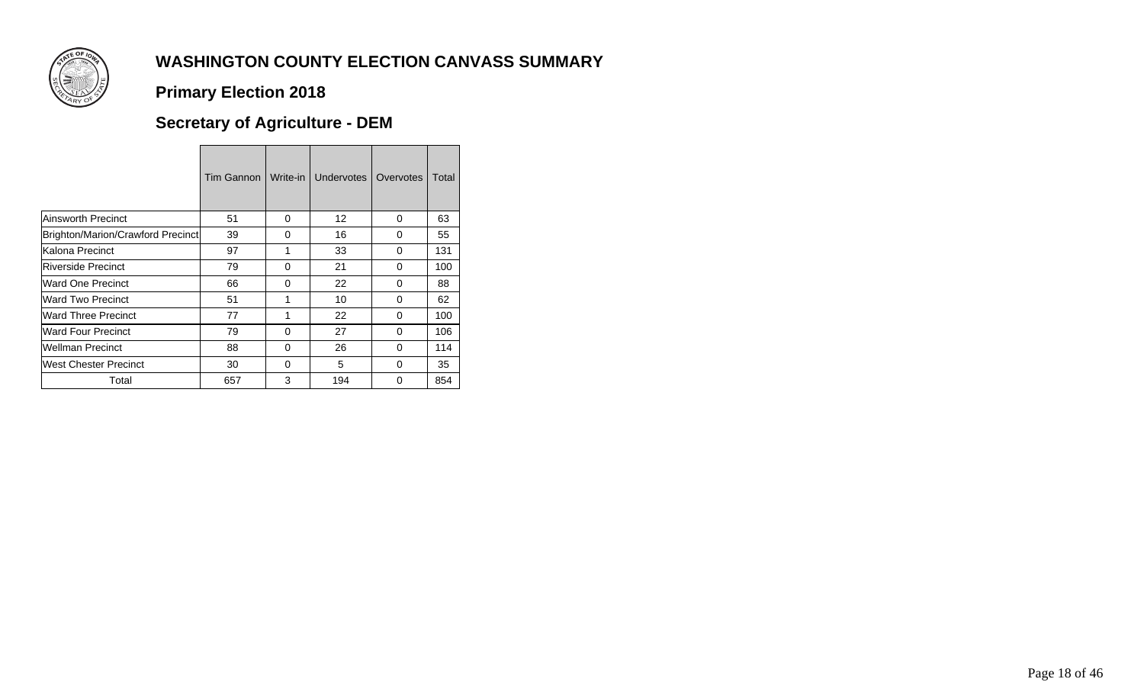

### **Primary Election 2018**

## **Secretary of Agriculture - DEM**

|                                   | Tim Gannon | Write-in | Undervotes      | Overvotes    | Total |
|-----------------------------------|------------|----------|-----------------|--------------|-------|
| <b>Ainsworth Precinct</b>         | 51         | 0        | 12 <sup>2</sup> | $\Omega$     | 63    |
| Brighton/Marion/Crawford Precinct | 39         | $\Omega$ | 16              | 0            | 55    |
| Kalona Precinct                   | 97         | 1        | 33              | 0            | 131   |
| Riverside Precinct                | 79         | $\Omega$ | 21              | <sup>0</sup> | 100   |
| <b>Ward One Precinct</b>          | 66         | 0        | 22              | 0            | 88    |
| Ward Two Precinct                 | 51         | 1        | 10              | <sup>0</sup> | 62    |
| <b>Ward Three Precinct</b>        | 77         | 1        | 22              | $\Omega$     | 100   |
| <b>Ward Four Precinct</b>         | 79         | $\Omega$ | 27              | $\Omega$     | 106   |
| <b>Wellman Precinct</b>           | 88         | 0        | 26              | 0            | 114   |
| West Chester Precinct             | 30         | $\Omega$ | 5               | O            | 35    |
| Total                             | 657        | 3        | 194             | O            | 854   |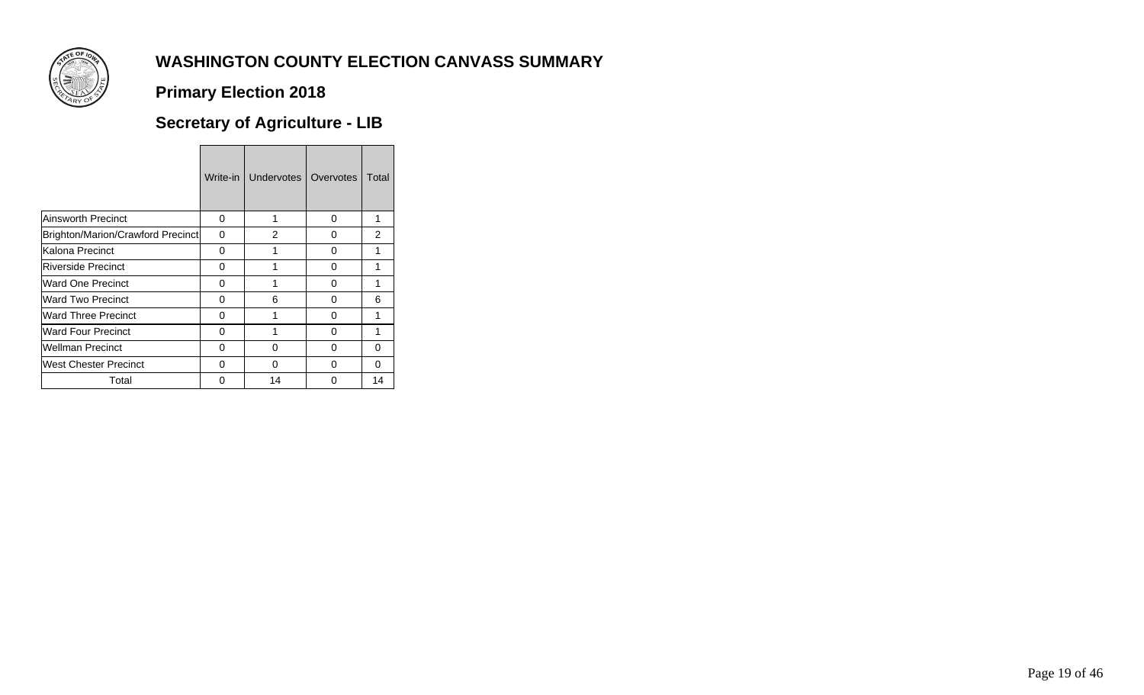

### **Primary Election 2018**

# **Secretary of Agriculture - LIB**

|                                   | Write-in | Undervotes | Overvotes | Total         |
|-----------------------------------|----------|------------|-----------|---------------|
| <b>Ainsworth Precinct</b>         | 0        | 1          | 0         | 1             |
| Brighton/Marion/Crawford Precinct | 0        | 2          | 0         | $\mathcal{P}$ |
| Kalona Precinct                   | 0        |            | 0         | 1             |
| <b>Riverside Precinct</b>         | O        |            | 0         | 1             |
| Ward One Precinct                 | 0        |            | 0         | 1             |
| <b>Ward Two Precinct</b>          | O        | 6          | 0         | 6             |
| <b>Ward Three Precinct</b>        | 0        |            | 0         | 1             |
| <b>Ward Four Precinct</b>         | O        |            | 0         | 1             |
| <b>Wellman Precinct</b>           | O        | 0          | 0         | 0             |
| <b>West Chester Precinct</b>      | O        | O          | O         | 0             |
| Total                             | n        | 14         | ∩         | 14            |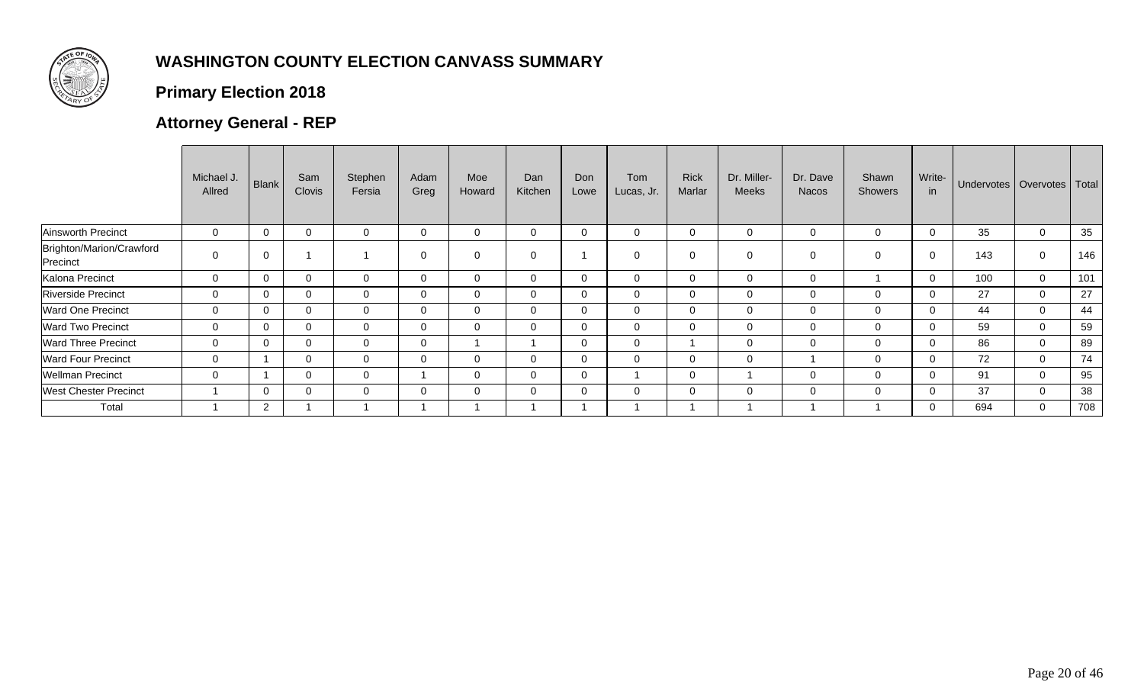

## **Primary Election 2018**

## **Attorney General - REP**

|                                      | Michael J.<br>Allred | <b>Blank</b> | Sam<br><b>Clovis</b> | Stephen<br>Fersia | Adam<br>Greg   | Moe<br>Howard  | Dan<br>Kitchen | Don<br>Lowe | Tom<br>Lucas, Jr. | <b>Rick</b><br>Marlar | Dr. Miller-<br><b>Meeks</b> | Dr. Dave<br><b>Nacos</b> | Shawn<br><b>Showers</b> | Write-<br>in | Undervotes   Overvotes   Total |             |     |
|--------------------------------------|----------------------|--------------|----------------------|-------------------|----------------|----------------|----------------|-------------|-------------------|-----------------------|-----------------------------|--------------------------|-------------------------|--------------|--------------------------------|-------------|-----|
| Ainsworth Precinct                   | $\mathbf 0$          | $\Omega$     | $\mathbf{0}$         | 0                 | $\overline{0}$ | $\mathbf 0$    | $\mathbf 0$    | 0           | 0                 | 0                     | 0                           | 0                        | 0                       | $\mathbf 0$  | 35                             | $\mathbf 0$ | 35  |
| Brighton/Marion/Crawford<br>Precinct | $\mathbf 0$          | $\Omega$     |                      |                   | $\mathbf 0$    | $\overline{0}$ | $\mathbf 0$    |             | $\Omega$          |                       | 0                           | $\mathbf 0$              | 0                       | $\Omega$     | 143                            | $\mathbf 0$ | 146 |
| Kalona Precinct                      | $\mathbf 0$          | $\Omega$     | $\Omega$             | $\Omega$          | $\overline{0}$ | $\mathbf 0$    | $\overline{0}$ | 0           | 0                 | 0                     | $\mathbf 0$                 | $\mathbf 0$              |                         | $\Omega$     | 100                            | $\mathbf 0$ | 101 |
| <b>Riverside Precinct</b>            | $\mathbf 0$          | $\Omega$     | 0                    | $\Omega$          | $\overline{0}$ | $\mathbf 0$    | $\mathbf 0$    | 0           | 0                 | $\Omega$              | 0                           | $\mathbf 0$              |                         | $\mathbf{0}$ | 27                             | $\mathbf 0$ | 27  |
| <b>Ward One Precinct</b>             | $\mathbf 0$          | $\Omega$     | $\Omega$             | $\Omega$          | $\Omega$       | $\Omega$       | $\overline{0}$ | 0           | $\mathbf 0$       | 0                     | $\mathbf 0$                 | $\mathbf 0$              | 0                       | $\Omega$     | 44                             | $\mathbf 0$ | 44  |
| <b>Ward Two Precinct</b>             | $\mathbf 0$          | $\Omega$     | $\Omega$             | $\Omega$          | $\overline{0}$ | $\mathbf 0$    | $\overline{0}$ | 0           | $\mathbf 0$       | 0                     | $\mathbf 0$                 | $\mathbf 0$              | 0                       | $\mathbf{0}$ | 59                             | $\mathbf 0$ | 59  |
| <b>Ward Three Precinct</b>           | $\mathbf{0}$         | $\Omega$     | $\Omega$             | $\Omega$          | $\overline{0}$ |                |                | $\Omega$    | $\mathbf 0$       |                       | 0                           | $\overline{0}$           | $\Omega$                | $\Omega$     | 86                             | $\mathbf 0$ | 89  |
| <b>Ward Four Precinct</b>            | $\mathbf 0$          |              | $\overline{0}$       | 0                 | $\overline{0}$ | $\mathbf 0$    | $\overline{0}$ | 0           | 0                 | $\Omega$              | $\mathbf 0$                 |                          | 0                       | $\Omega$     | 72                             | $\mathbf 0$ | 74  |
| <b>Wellman Precinct</b>              | $\mathbf 0$          |              | $\Omega$             | $\Omega$          |                | $\mathbf 0$    | $\mathbf{0}$   | 0           |                   | 0                     |                             | $\mathbf 0$              | 0                       | $\Omega$     | 91                             | $\mathbf 0$ | 95  |
| <b>West Chester Precinct</b>         |                      | $\Omega$     | $\Omega$             | $\Omega$          | $\Omega$       | $\mathbf 0$    | $\overline{0}$ | $\mathbf 0$ | 0                 | 0                     | $\mathbf 0$                 | $\mathbf 0$              |                         | $\Omega$     | 37                             | $\mathbf 0$ | 38  |
| Total                                |                      | $\mathbf{2}$ |                      |                   |                |                |                |             |                   |                       |                             |                          |                         | $\Omega$     | 694                            | $\mathbf 0$ | 708 |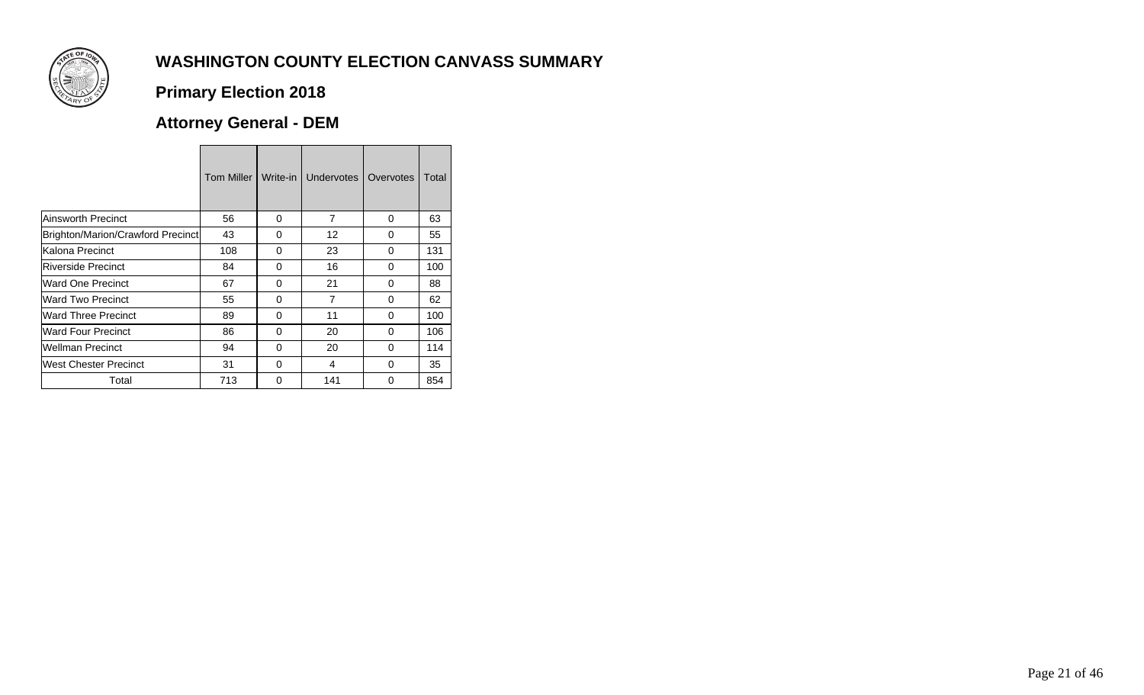

## **Primary Election 2018**

## **Attorney General - DEM**

|                                   | Tom Miller | Write-in | <b>Undervotes</b> | Overvotes | Total |
|-----------------------------------|------------|----------|-------------------|-----------|-------|
| Ainsworth Precinct                | 56         | 0        | $\overline{7}$    | $\Omega$  | 63    |
| Brighton/Marion/Crawford Precinct | 43         | 0        | 12                | 0         | 55    |
| Kalona Precinct                   | 108        | 0        | 23                | 0         | 131   |
| <b>Riverside Precinct</b>         | 84         | 0        | 16                | 0         | 100   |
| Ward One Precinct                 | 67         | 0        | 21                | 0         | 88    |
| Ward Two Precinct                 | 55         | $\Omega$ | $\overline{7}$    | $\Omega$  | 62    |
| Ward Three Precinct               | 89         | 0        | 11                | 0         | 100   |
| Ward Four Precinct                | 86         | 0        | 20                | 0         | 106   |
| <b>Wellman Precinct</b>           | 94         | 0        | 20                | 0         | 114   |
| West Chester Precinct             | 31         | 0        | 4                 | $\Omega$  | 35    |
| Total                             | 713        | O        | 141               | 0         | 854   |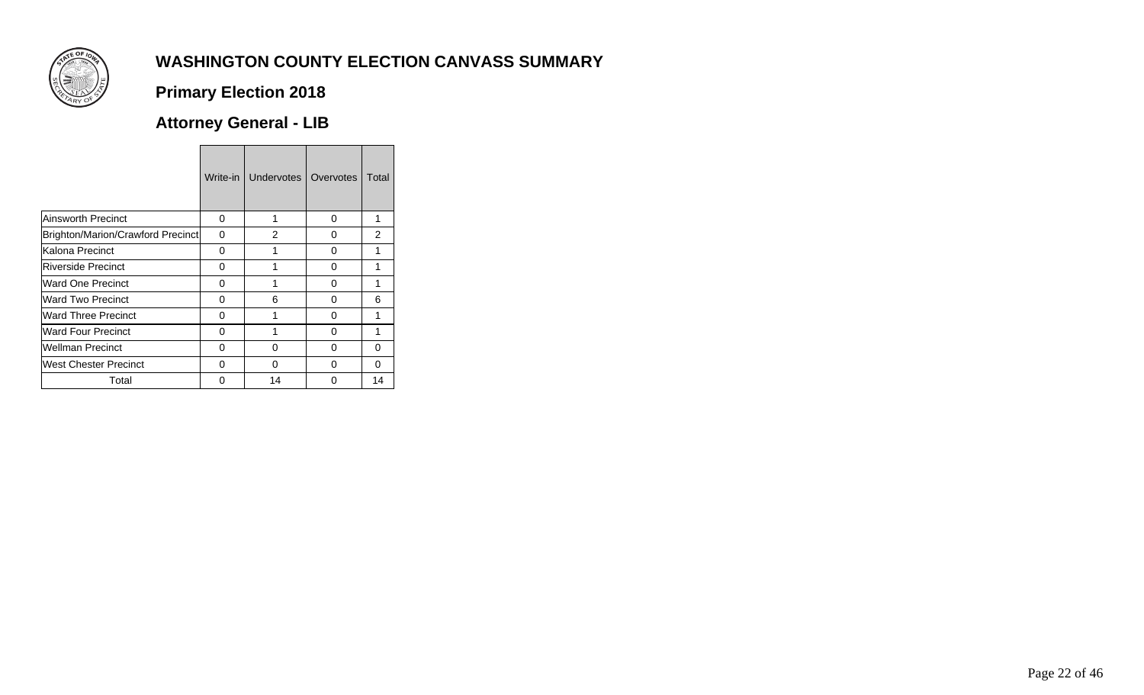

## **Primary Election 2018**

## **Attorney General - LIB**

|                                   | Write-in | Undervotes     | Overvotes | Total          |
|-----------------------------------|----------|----------------|-----------|----------------|
| Ainsworth Precinct                | 0        | 1              | 0         | 1              |
| Brighton/Marion/Crawford Precinct | 0        | $\overline{2}$ | 0         | $\overline{2}$ |
| Kalona Precinct                   | 0        | 1              | 0         | 1              |
| <b>Riverside Precinct</b>         | O        | 1              | 0         | 1              |
| Ward One Precinct                 | 0        | 1              | 0         | 1              |
| Ward Two Precinct                 | U        | 6              | 0         | 6              |
| <b>Ward Three Precinct</b>        | 0        |                | 0         | 1              |
| <b>Ward Four Precinct</b>         | O        | 1              | 0         | 1              |
| <b>Wellman Precinct</b>           | 0        | 0              | 0         | 0              |
| West Chester Precinct             | U        | U              | O         | <sup>0</sup>   |
| Total                             | n        | 14             | ∩         | 14             |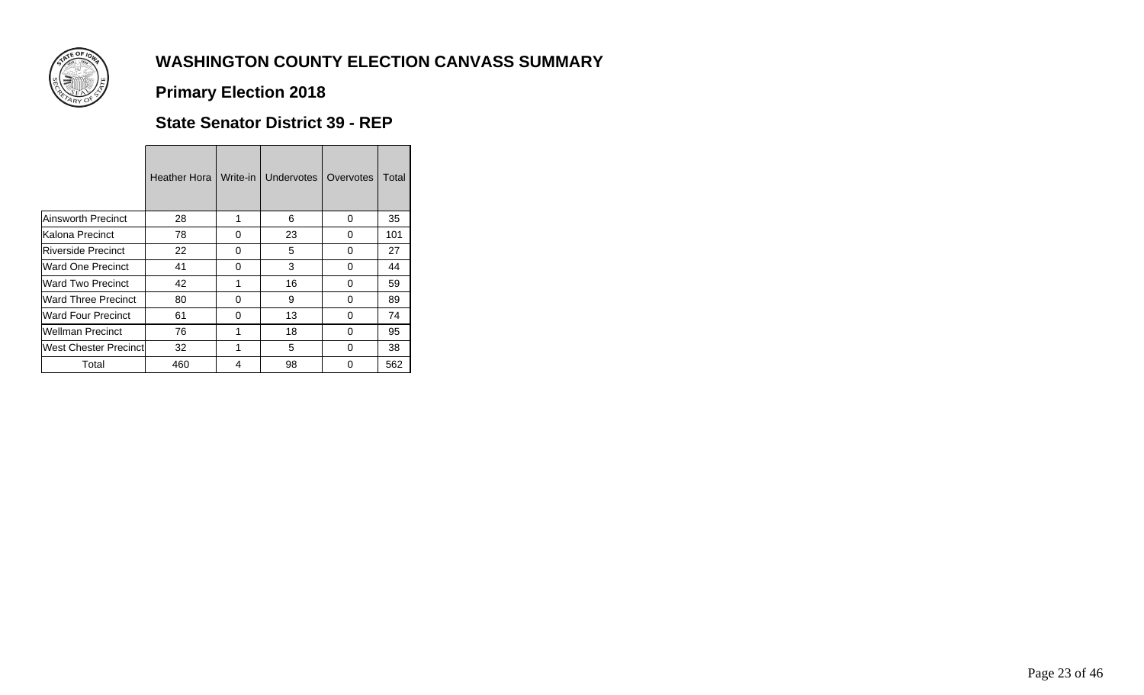

## **Primary Election 2018**

#### **State Senator District 39 - REP**

<u> Tanzania di Bandaria di Bandaria di Bandaria di Bandaria di Bandaria di Bandaria di Bandaria di Bandaria di B</u>

|                               | Heather Hora | Write-in | <b>Undervotes</b> | Overvotes | Total |
|-------------------------------|--------------|----------|-------------------|-----------|-------|
| Ainsworth Precinct            | 28           |          | 6                 | 0         | 35    |
| lKalona Precinct              | 78           | 0        | 23                | O         | 101   |
| Riverside Precinct            | 22           | 0        | 5                 | 0         | 27    |
| Ward One Precinct             | 41           | 0        | 3                 | 0         | 44    |
| <b>Ward Two Precinct</b>      | 42           |          | 16                | 0         | 59    |
| <b>Ward Three Precinct</b>    | 80           | $\Omega$ | 9                 | O         | 89    |
| Ward Four Precinct            | 61           | 0        | 13                | 0         | 74    |
| Wellman Precinct              | 76           |          | 18                | 0         | 95    |
| <b>West Chester Precinctl</b> | 32           |          | 5                 | O         | 38    |
| Total                         | 460          | 4        | 98                | O         | 562   |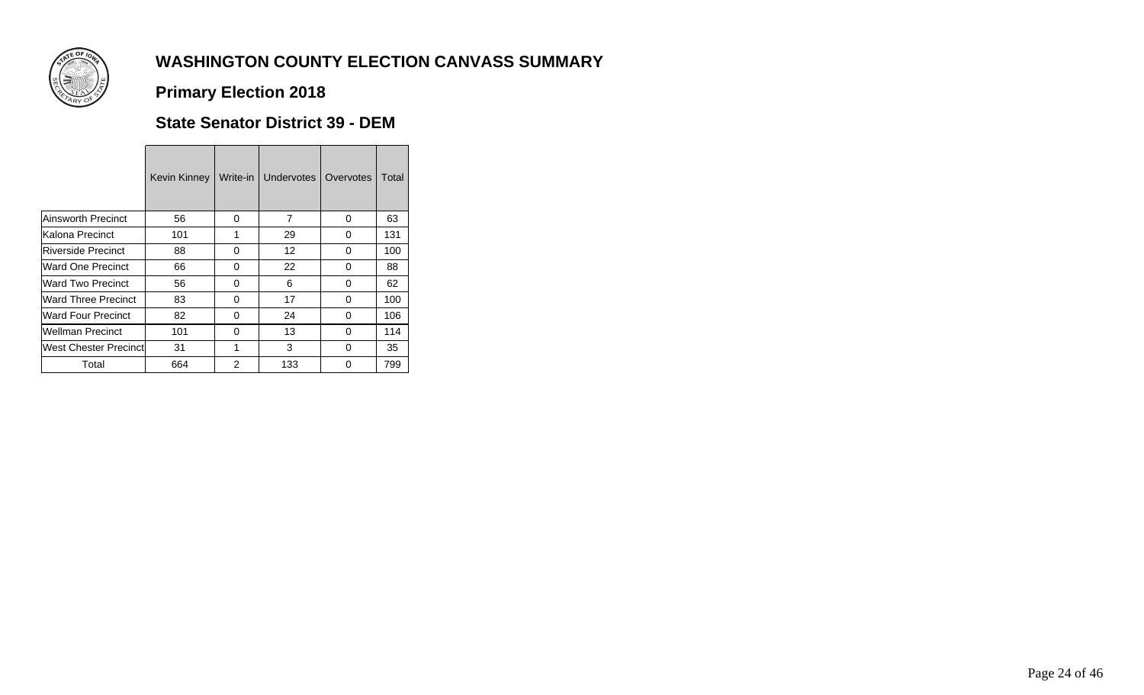

# **Primary Election 2018**

#### **State Senator District 39 - DEM**

<u> 1989 - Jan Salaman, masjid a shekara ta 1989 - An tsara tsara tsara tsara tsara tsara tsara tsara tsara tsar</u>

|                               | <b>Kevin Kinney</b> | Write-in       | Undervotes | Overvotes | Total |  |
|-------------------------------|---------------------|----------------|------------|-----------|-------|--|
| <b>Ainsworth Precinct</b>     | 56                  | 0              | 7          | 0         | 63    |  |
| Kalona Precinct               | 101                 | 1              | 29         | 0         | 131   |  |
| Riverside Precinct            | 88                  | 0              | 12         | 0         | 100   |  |
| Ward One Precinct             | 66                  | 0              | 22         | 0         | 88    |  |
| <b>Ward Two Precinct</b>      | 56                  | 0              | 6          | 0         | 62    |  |
| <b>Ward Three Precinct</b>    | 83                  | 0              | 17         | 0         | 100   |  |
| <b>Ward Four Precinct</b>     | 82                  | 0              | 24         | 0         | 106   |  |
| <b>Wellman Precinct</b>       | 101                 | 0              | 13         | 0         | 114   |  |
| <b>West Chester Precinctl</b> | 31                  | 1              | 3          | 0         | 35    |  |
| Total                         | 664                 | $\mathfrak{p}$ | 133        | ∩         | 799   |  |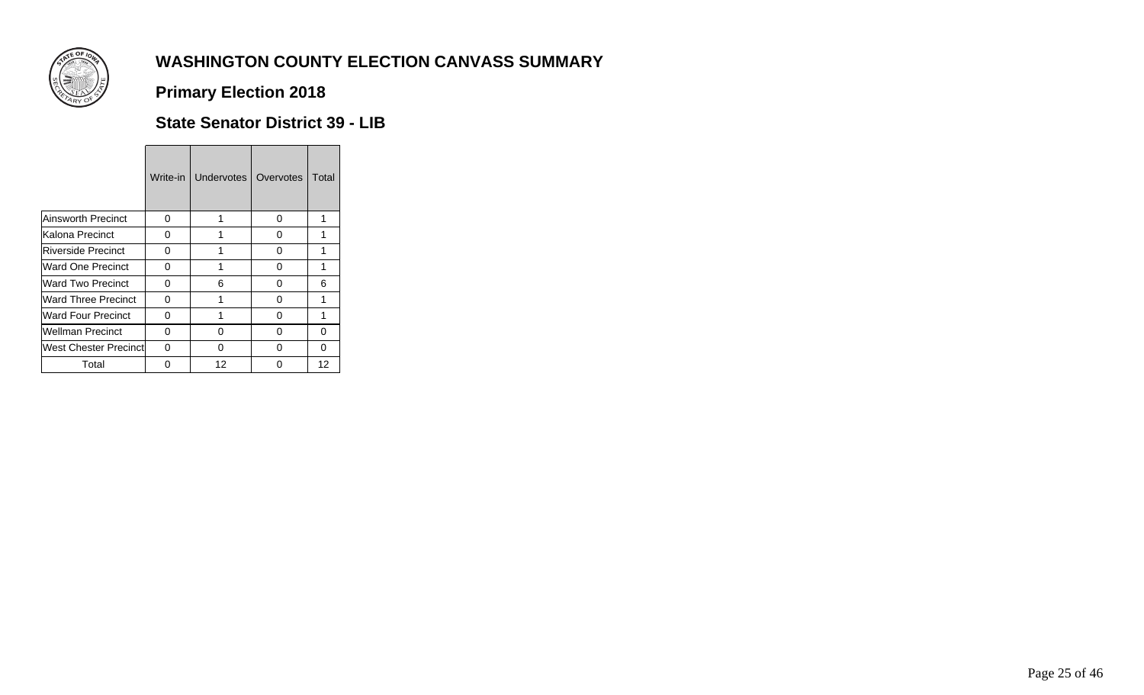

**Primary Election 2018**

#### **State Senator District 39 - LIB**

|                               | Write-in | <b>Undervotes</b> | Overvotes | Total |
|-------------------------------|----------|-------------------|-----------|-------|
| <b>Ainsworth Precinct</b>     | 0        | 1                 | O         | 1     |
| Kalona Precinct               | 0        | 1                 | 0         | 1     |
| Riverside Precinct            | 0        |                   | U         | 1     |
| Ward One Precinct             | 0        | 1                 | 0         | 1     |
| Ward Two Precinct             | 0        | 6                 | O         | 6     |
| <b>Ward Three Precinct</b>    | 0        | 1                 | O         | 1     |
| <b>Ward Four Precinct</b>     | 0        | 1                 | O         |       |
| <b>Wellman Precinct</b>       | 0        | 0                 | O         | 0     |
| <b>West Chester Precinctl</b> | 0        | O                 | U         | 0     |
| Total                         | 0        | 12                | n         | 12    |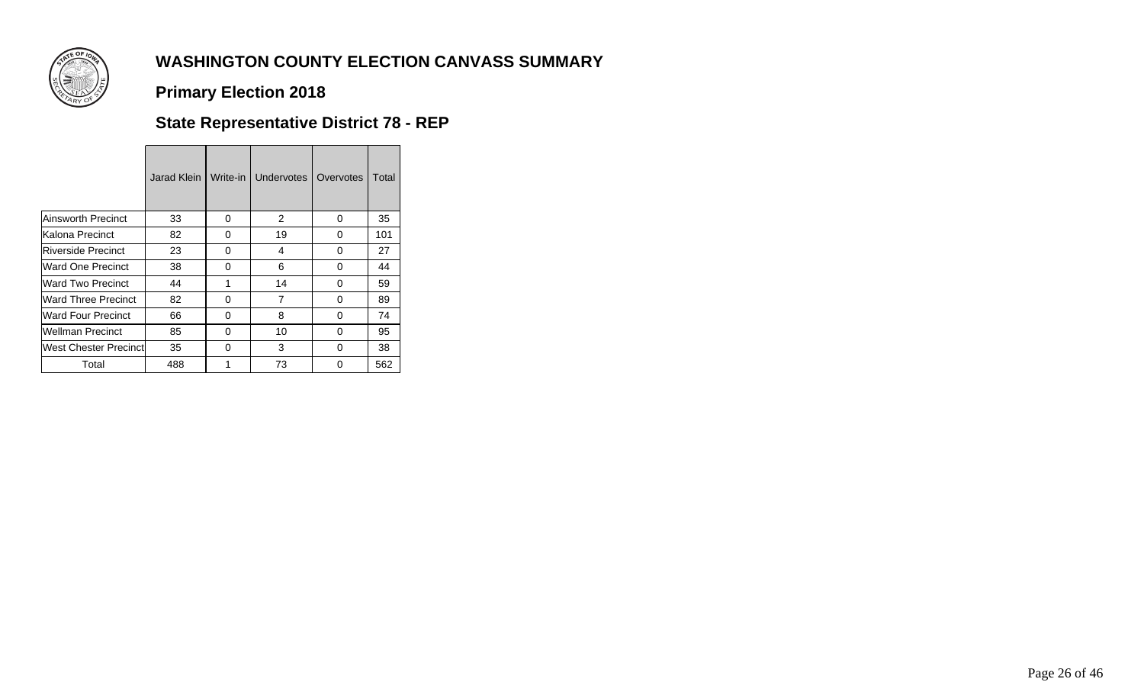

### **Primary Election 2018**

## **State Representative District 78 - REP**

|                           | Jarad Klein | Write-in | <b>Undervotes</b> | Overvotes | Total |
|---------------------------|-------------|----------|-------------------|-----------|-------|
|                           |             |          |                   |           |       |
| Ainsworth Precinct        | 33          | 0        | 2                 | 0         | 35    |
| Kalona Precinct           | 82          | 0        | 19                | 0         | 101   |
| <b>Riverside Precinct</b> | 23          | 0        | 4                 | 0         | 27    |
| Ward One Precinct         | 38          | 0        | 6                 | 0         | 44    |
| Ward Two Precinct         | 44          |          | 14                | 0         | 59    |
| Ward Three Precinct       | 82          | 0        | 7                 | 0         | 89    |
| Ward Four Precinct        | 66          | 0        | 8                 | 0         | 74    |
| Wellman Precinct          | 85          | 0        | 10                | 0         | 95    |
| West Chester Precinct     | 35          | 0        | 3                 | 0         | 38    |
| Total                     | 488         | 1        | 73                | 0         | 562   |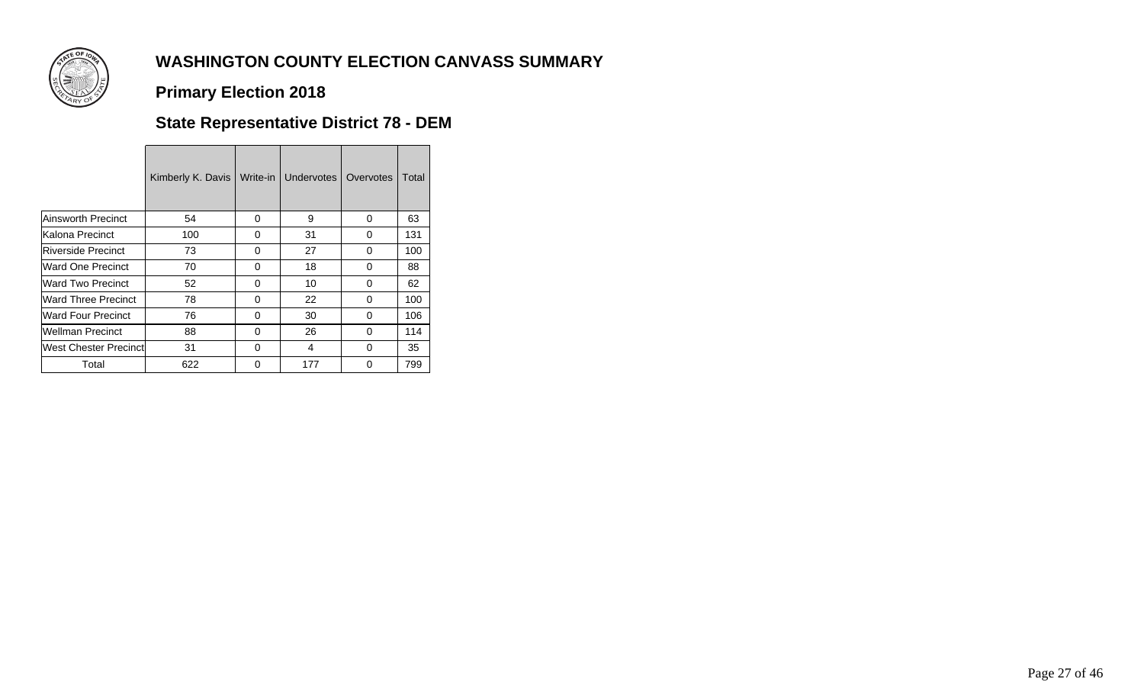

### **Primary Election 2018**

## **State Representative District 78 - DEM**

|                               | Kimberly K. Davis | Write-in | Undervotes I | Overvotes | Total |
|-------------------------------|-------------------|----------|--------------|-----------|-------|
| Ainsworth Precinct            | 54                | 0        | 9            | 0         | 63    |
| Kalona Precinct               | 100               | 0        | 31           | 0         | 131   |
| <b>Riverside Precinct</b>     | 73                | 0        | 27           | 0         | 100   |
| Ward One Precinct             | 70                | 0        | 18           | 0         | 88    |
| <b>Ward Two Precinct</b>      | 52                | 0        | 10           | 0         | 62    |
| <b>IWard Three Precinct</b>   | 78                | 0        | 22           | 0         | 100   |
| <b>Ward Four Precinct</b>     | 76                | $\Omega$ | 30           | 0         | 106   |
| <b>Wellman Precinct</b>       | 88                | 0        | 26           | 0         | 114   |
| <b>West Chester Precinctl</b> | 31                | $\Omega$ | 4            | 0         | 35    |
| Total                         | 622               | $\Omega$ | 177          | 0         | 799   |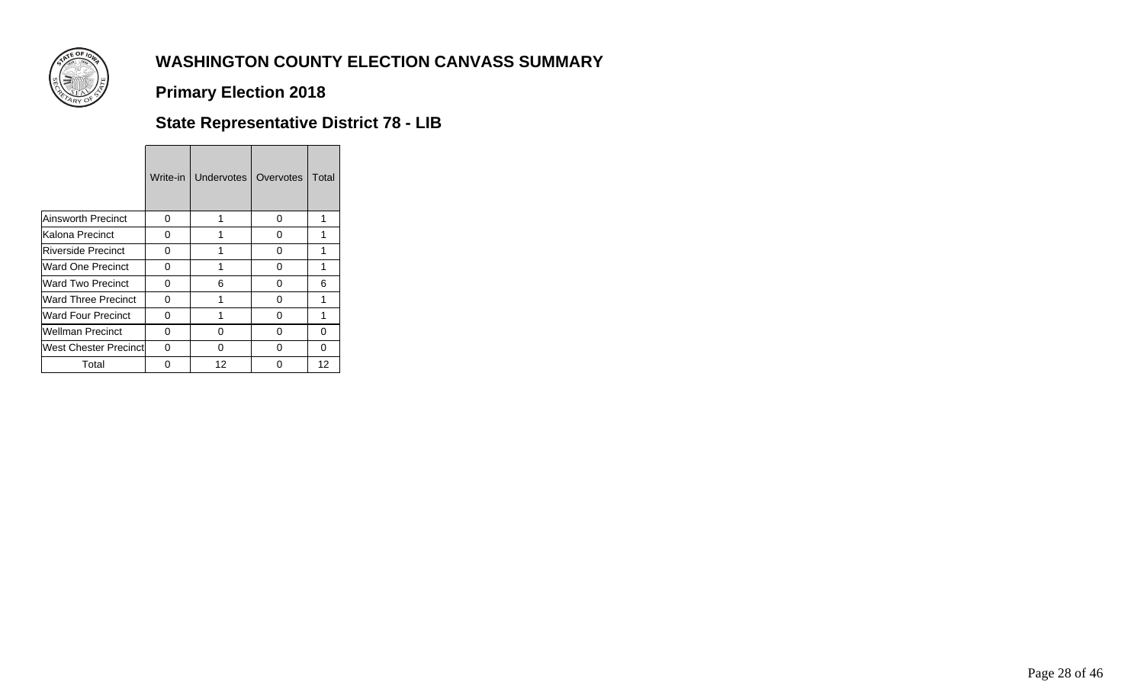

**Primary Election 2018**

## **State Representative District 78 - LIB**

|                           | Write-in | <b>Undervotes</b> | Overvotes | Total |
|---------------------------|----------|-------------------|-----------|-------|
| Ainsworth Precinct        | 0        | 1                 | O         | 1     |
| Kalona Precinct           | 0        |                   | O         |       |
| <b>Riverside Precinct</b> | 0        |                   | U         | 1     |
| Ward One Precinct         | 0        | 1                 | O         | 1     |
| Ward Two Precinct         | 0        | 6                 | O         | 6     |
| Ward Three Precinct       | 0        | 1                 | ∩         | 1     |
| Ward Four Precinct        | 0        | 1                 | O         | 1     |
| Wellman Precinct          | 0        | O                 | ი         | 0     |
| West Chester Precinctl    | 0        | O                 | O         | 0     |
| Total                     | 0        | 12                | n         | 12    |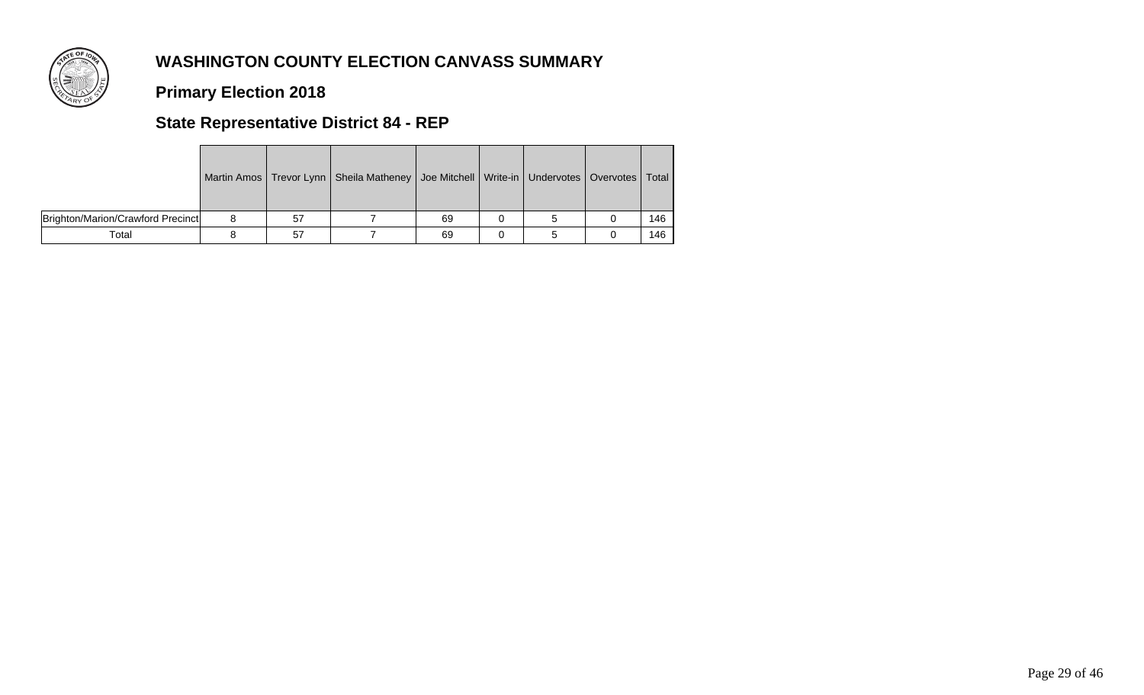

### **Primary Election 2018**

## **State Representative District 84 - REP**

|                                   |    | Martin Amos   Trevor Lynn   Sheila Matheney   Joe Mitchell   Write-in   Undervotes   Overvotes   Total |    |  |     |  |
|-----------------------------------|----|--------------------------------------------------------------------------------------------------------|----|--|-----|--|
| Brighton/Marion/Crawford Precinct | 57 |                                                                                                        | 69 |  | 146 |  |
| Total                             | 57 |                                                                                                        | 69 |  | 146 |  |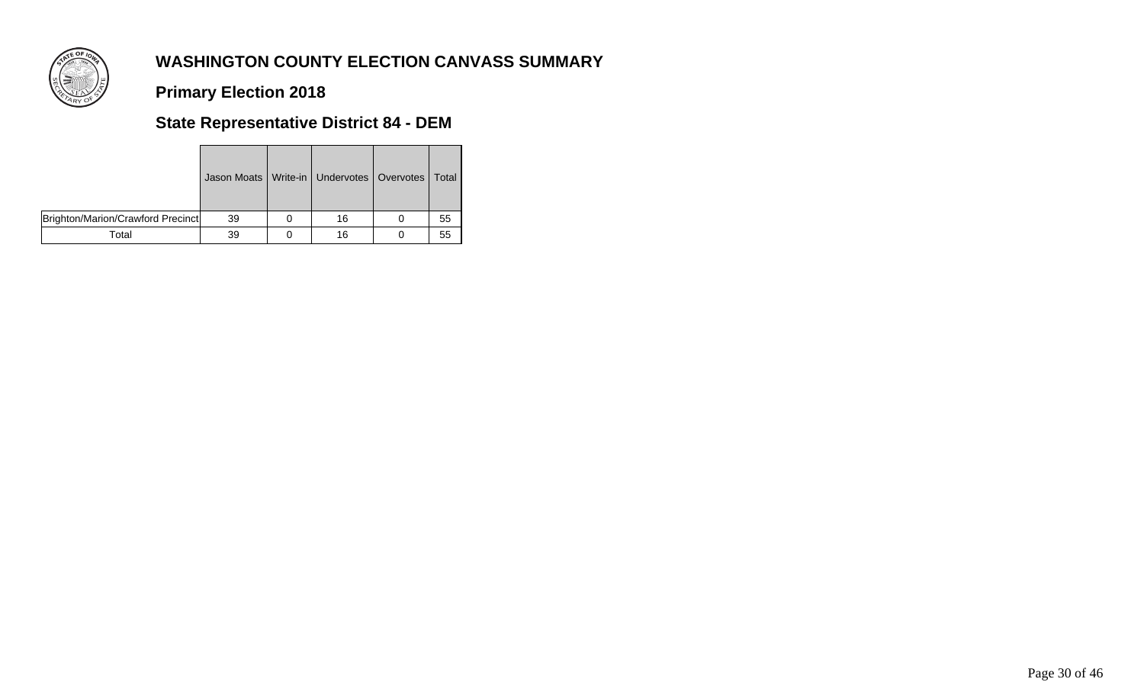

**Primary Election 2018**

## **State Representative District 84 - DEM**

|                                   | Jason Moats   Write-in   Undervotes   Overvotes   Total |    |    |
|-----------------------------------|---------------------------------------------------------|----|----|
| Brighton/Marion/Crawford Precinct | 39                                                      | 16 | 55 |
| Total                             | 39                                                      | 16 | 55 |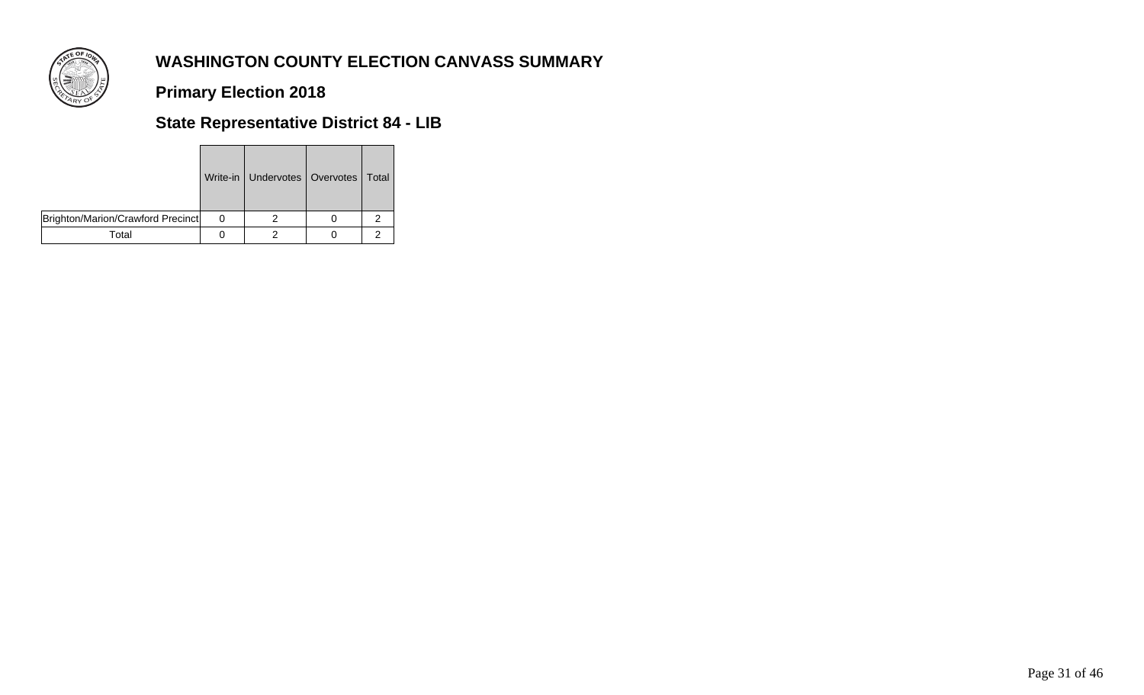

**Primary Election 2018**

## **State Representative District 84 - LIB**

|                                   | Write-in   Undervotes   Overvotes   Total |   |
|-----------------------------------|-------------------------------------------|---|
| Brighton/Marion/Crawford Precinct |                                           | 2 |
| Total                             |                                           |   |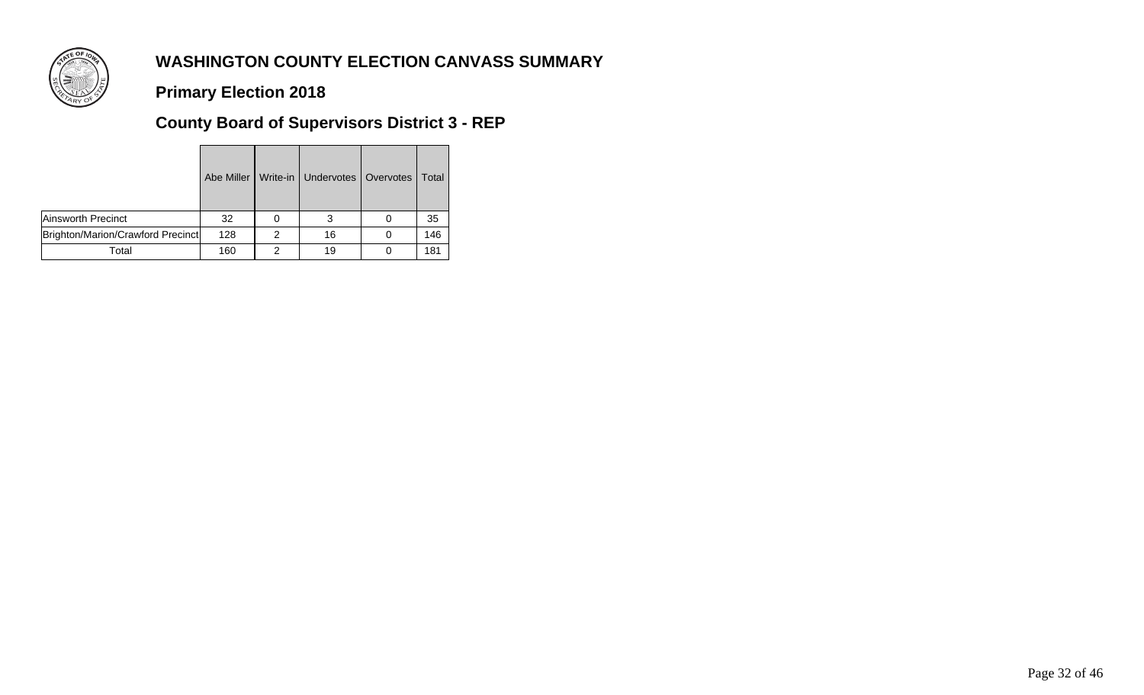

**Primary Election 2018**

# **County Board of Supervisors District 3 - REP**

|                                   | Abe Miller I |   | Write-in   Undervotes   Overvotes | Total |
|-----------------------------------|--------------|---|-----------------------------------|-------|
| Ainsworth Precinct                | 32           |   |                                   | 35    |
| Brighton/Marion/Crawford Precinct | 128          | 2 | 16                                | 146   |
| Total                             | 160          | ⌒ | 19                                | 181   |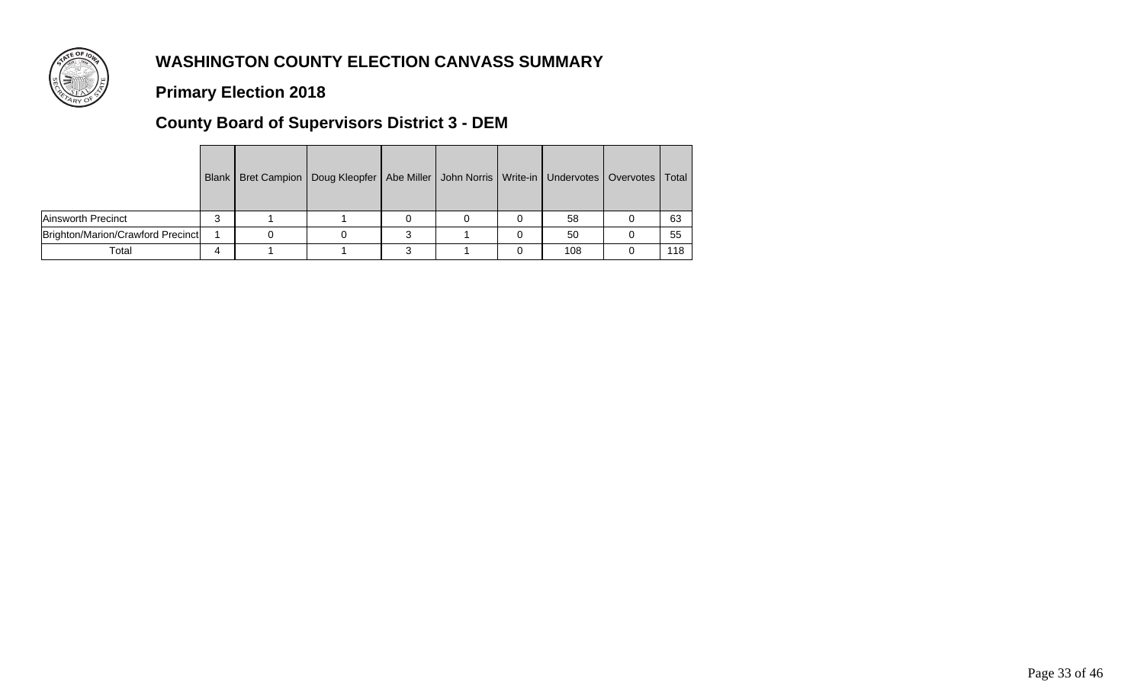

### **Primary Election 2018**

## **County Board of Supervisors District 3 - DEM**

|                                   |  | Blank   Bret Campion   Doug Kleopfer   Abe Miller   John Norris   Write-in   Undervotes   Overvotes   Total |  |     |     |
|-----------------------------------|--|-------------------------------------------------------------------------------------------------------------|--|-----|-----|
| Ainsworth Precinct                |  |                                                                                                             |  | 58  | 63  |
| Brighton/Marion/Crawford Precinct |  |                                                                                                             |  | 50  | 55  |
| Total                             |  |                                                                                                             |  | 108 | 118 |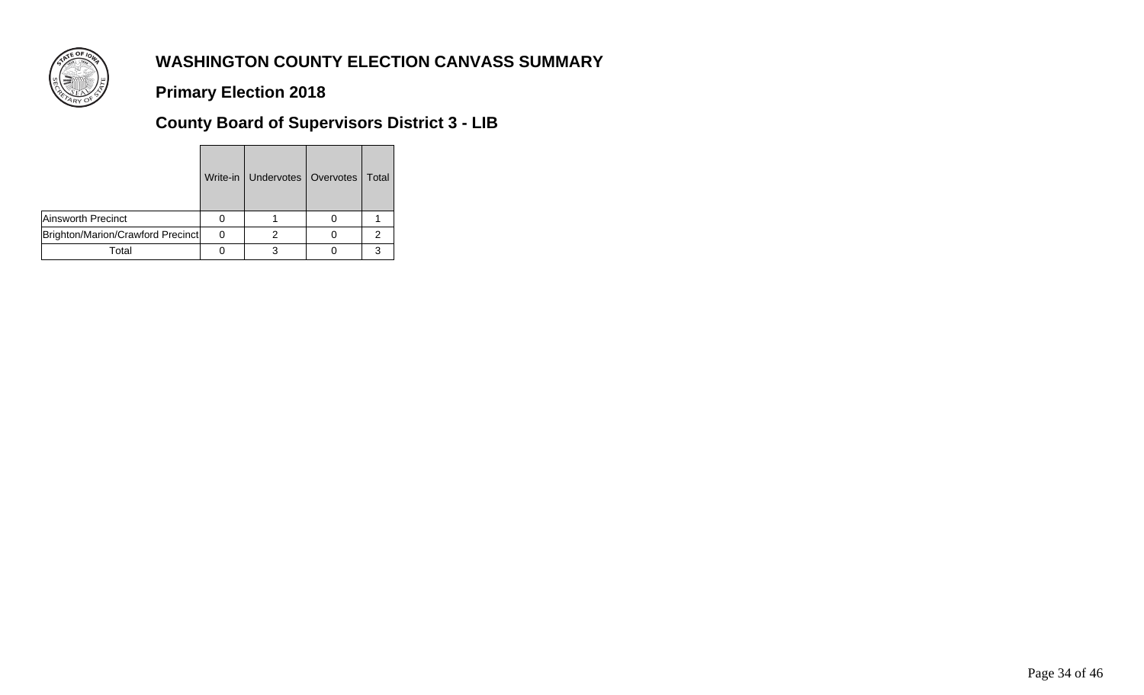

**Primary Election 2018**

**County Board of Supervisors District 3 - LIB**

|                                   | Write-in   Undervotes   Overvotes   Total |   |
|-----------------------------------|-------------------------------------------|---|
| Ainsworth Precinct                |                                           |   |
| Brighton/Marion/Crawford Precinct |                                           | 2 |
| Total                             |                                           |   |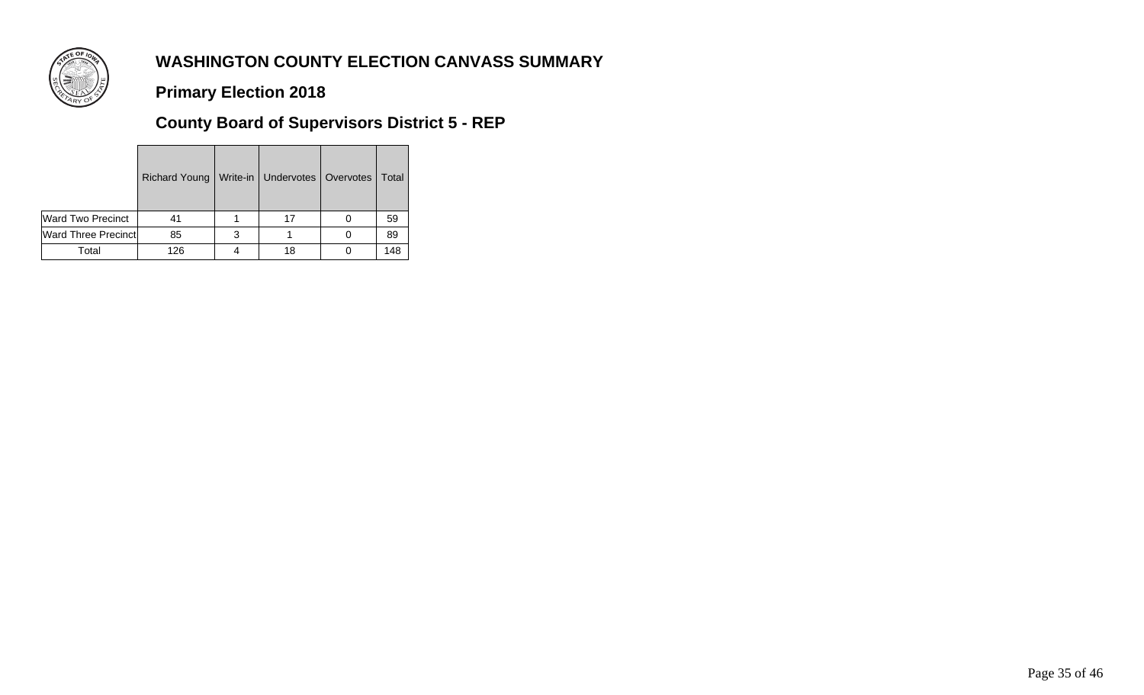

**Primary Election 2018**

# **County Board of Supervisors District 5 - REP**

|                            | Richard Young | Write-in   Undervotes   Overvotes | Total |  |
|----------------------------|---------------|-----------------------------------|-------|--|
| Ward Two Precinct          | 41            |                                   | 59    |  |
| <b>Ward Three Precinct</b> | 85            |                                   | 89    |  |
| Total                      | 126           |                                   | 148   |  |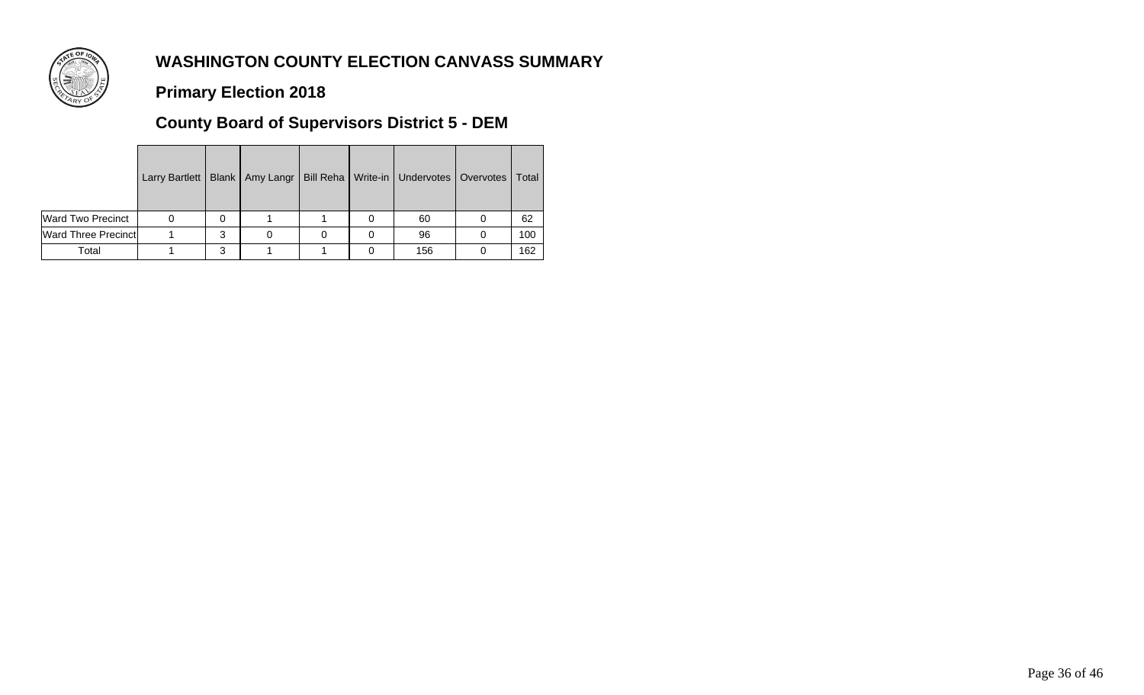

### **Primary Election 2018**

## **County Board of Supervisors District 5 - DEM**

|                             | Larry Bartlett |   |  | Blank   Amy Langr   Bill Reha   Write-in   Undervotes   Overvotes | Total |
|-----------------------------|----------------|---|--|-------------------------------------------------------------------|-------|
| <b>Ward Two Precinct</b>    |                | 0 |  | 60                                                                | 62    |
| <b>Ward Three Precinctl</b> |                | 3 |  | 96                                                                | 100   |
| Total                       |                | 3 |  | 156                                                               | 162   |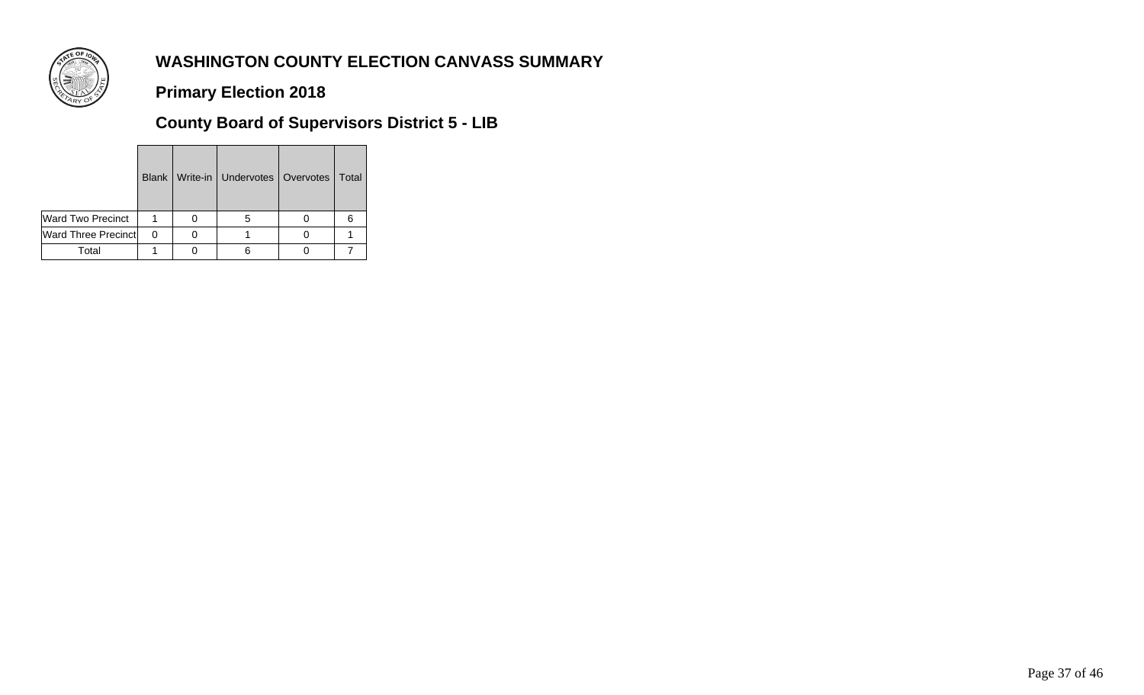

**Primary Election 2018**

**County Board of Supervisors District 5 - LIB**

|                            |          | Blank   Write-in   Undervotes   Overvotes   Total |  |
|----------------------------|----------|---------------------------------------------------|--|
| Ward Two Precinct          |          |                                                   |  |
| <b>Ward Three Precinct</b> | $\Omega$ |                                                   |  |
| Total                      |          |                                                   |  |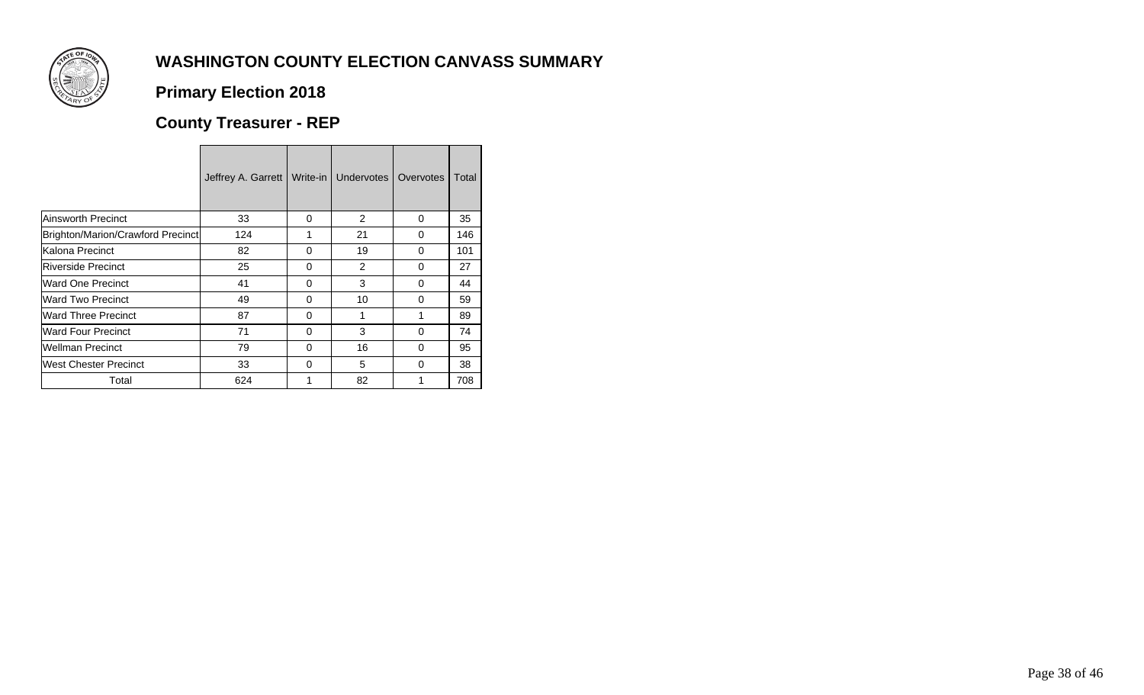

<u> Tanzania di Bandaria di Bandaria di Bandaria di Bandaria di Bandaria di Bandaria di Bandaria di Bandaria di B</u>

## **Primary Election 2018**

# **County Treasurer - REP**

|                                   | Jeffrey A. Garrett | Write-in | Undervotes | Overvotes | Total |
|-----------------------------------|--------------------|----------|------------|-----------|-------|
| <b>Ainsworth Precinct</b>         | 33                 | $\Omega$ | 2          | $\Omega$  | 35    |
| Brighton/Marion/Crawford Precinct | 124                | 1        | 21         | $\Omega$  | 146   |
| Kalona Precinct                   | 82                 | $\Omega$ | 19         | $\Omega$  | 101   |
| <b>IRiverside Precinct</b>        | 25                 | $\Omega$ | 2          | $\Omega$  | 27    |
| Ward One Precinct                 | 41                 | 0        | 3          | $\Omega$  | 44    |
| Ward Two Precinct                 | 49                 | $\Omega$ | 10         | $\Omega$  | 59    |
| <b>Ward Three Precinct</b>        | 87                 | 0        |            |           | 89    |
| <b>Ward Four Precinct</b>         | 71                 | $\Omega$ | 3          | $\Omega$  | 74    |
| <b>Wellman Precinct</b>           | 79                 | 0        | 16         | 0         | 95    |
| West Chester Precinct             | 33                 | $\Omega$ | 5          | $\Omega$  | 38    |
| Total                             | 624                |          | 82         |           | 708   |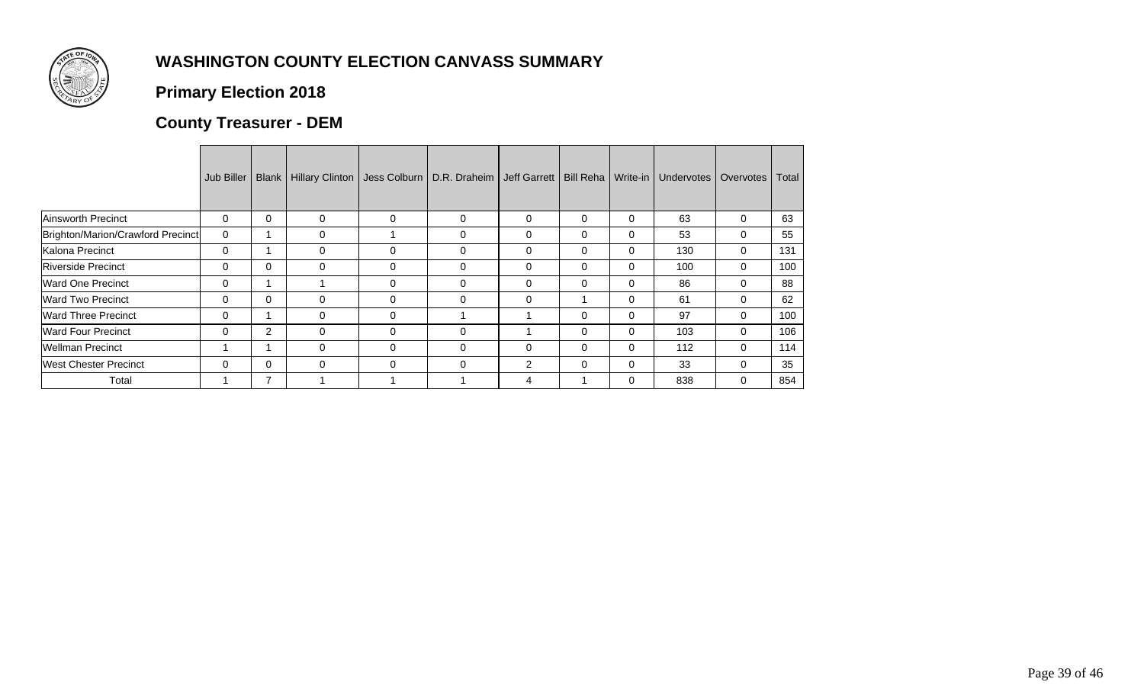

## **Primary Election 2018**

# **County Treasurer - DEM**

|                                   | Jub Biller | Blank       | Hillary Clinton |          | Jess Colburn   D.R. Draheim   Jeff Garrett   Bill Reha   Write-in |                |              |          | Undervotes | Overvotes | Total |
|-----------------------------------|------------|-------------|-----------------|----------|-------------------------------------------------------------------|----------------|--------------|----------|------------|-----------|-------|
| Ainsworth Precinct                | 0          | $\mathbf 0$ | 0               | 0        | 0                                                                 | 0              | $\Omega$     | 0        | 63         | 0         | 63    |
| Brighton/Marion/Crawford Precinct | 0          |             | 0               |          | 0                                                                 | $\Omega$       | $\mathbf{0}$ | 0        | 53         | 0         | 55    |
| Kalona Precinct                   | 0          |             | 0               | 0        | 0                                                                 | 0              | $\Omega$     | 0        | 130        | 0         | 131   |
| <b>Riverside Precinct</b>         | 0          | $\Omega$    | 0               | 0        | 0                                                                 | $\Omega$       | $\mathbf{0}$ | 0        | 100        | 0         | 100   |
| <b>Ward One Precinct</b>          | 0          |             |                 | 0        | 0                                                                 | $\Omega$       | $\Omega$     | 0        | 86         | 0         | 88    |
| <b>Ward Two Precinct</b>          | 0          | $\Omega$    | $\Omega$        | 0        | $\Omega$                                                          | $\mathbf 0$    |              | $\Omega$ | 61         | 0         | 62    |
| <b>Ward Three Precinct</b>        | 0          |             | 0               | 0        |                                                                   |                | $\Omega$     | 0        | 97         | 0         | 100   |
| <b>Ward Four Precinct</b>         | 0          | 2           | $\Omega$        | 0        | $\Omega$                                                          |                | 0            | 0        | 103        | 0         | 106   |
| <b>Wellman Precinct</b>           |            |             | 0               | $\Omega$ | 0                                                                 | 0              | $\Omega$     | 0        | 112        | 0         | 114   |
| <b>West Chester Precinct</b>      | 0          | $\Omega$    | $\Omega$        | $\Omega$ | $\Omega$                                                          | $\overline{2}$ | $\mathbf{0}$ | 0        | 33         | 0         | 35    |
| Total                             |            |             |                 |          |                                                                   | 4              |              | 0        | 838        | 0         | 854   |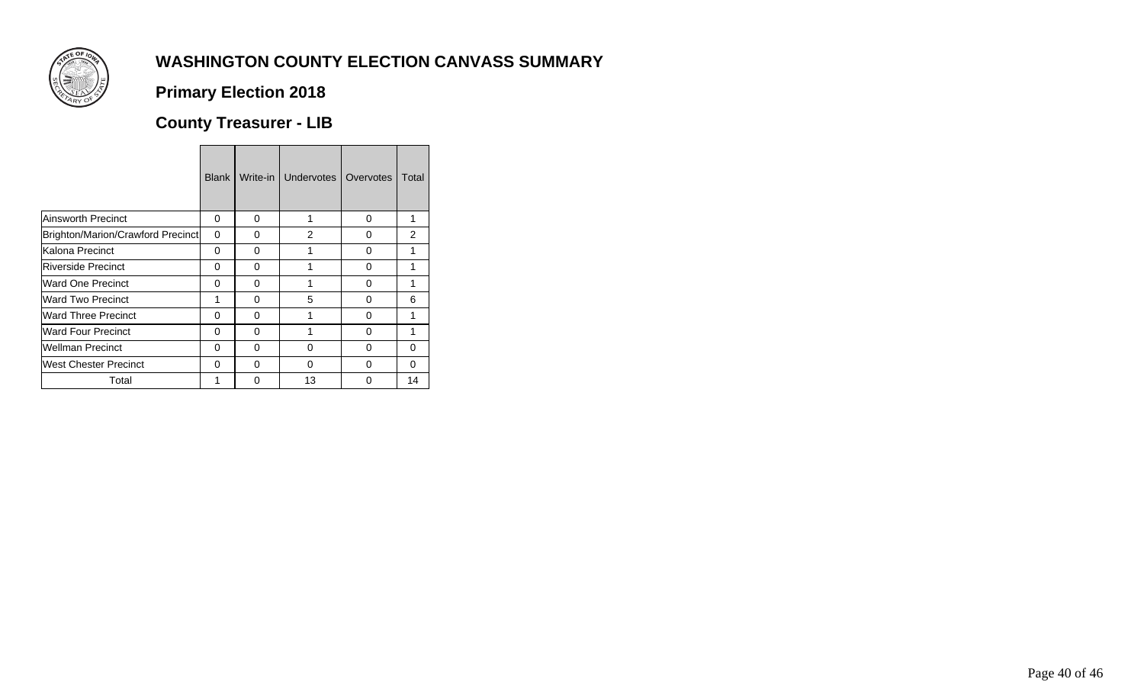

## **Primary Election 2018**

# **County Treasurer - LIB**

|                                   | <b>Blank</b> | Write-in | Undervotes     | Overvotes | Total          |
|-----------------------------------|--------------|----------|----------------|-----------|----------------|
| <b>Ainsworth Precinct</b>         | 0            | 0        | 1              | 0         | 1              |
| Brighton/Marion/Crawford Precinct | 0            | O        | $\overline{2}$ | 0         | $\overline{2}$ |
| Kalona Precinct                   | 0            | 0        |                | 0         | 1              |
| <b>Riverside Precinct</b>         | 0            | O        |                | 0         | 1              |
| Ward One Precinct                 | 0            | 0        | 1              | 0         | 1              |
| <b>Ward Two Precinct</b>          | 1            | 0        | 5              | 0         | 6              |
| <b>Ward Three Precinct</b>        | $\Omega$     | 0        | 1              | $\Omega$  | 1              |
| <b>Ward Four Precinct</b>         | 0            | O        |                | 0         | 1              |
| <b>Wellman Precinct</b>           | 0            | 0        | 0              | $\Omega$  | 0              |
| <b>West Chester Precinct</b>      | 0            | 0        | O              | 0         | 0              |
| Total                             | 1            | O        | 13             | 0         | 14             |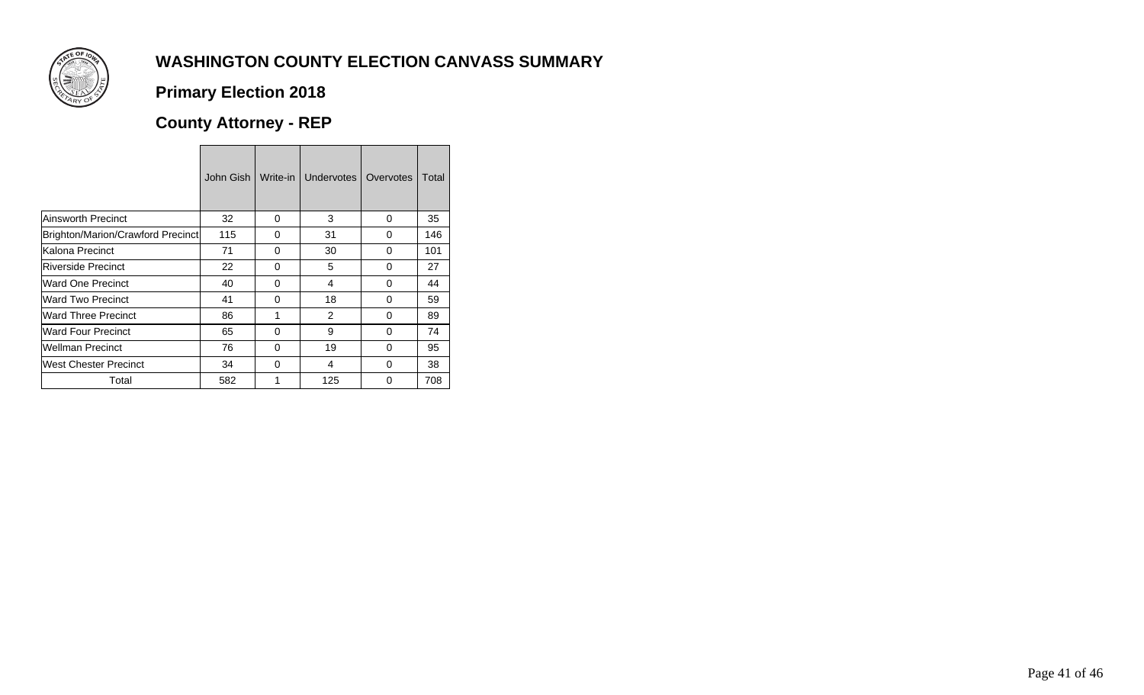

## **Primary Election 2018**

# **County Attorney - REP**

|                                   | John Gish | Write-in | Undervotes    | Overvotes | Total |
|-----------------------------------|-----------|----------|---------------|-----------|-------|
| <b>Ainsworth Precinct</b>         | 32        | $\Omega$ | 3             | $\Omega$  | 35    |
| Brighton/Marion/Crawford Precinct | 115       | 0        | 31            | 0         | 146   |
| Kalona Precinct                   | 71        | 0        | 30            | 0         | 101   |
| Riverside Precinct                | 22        | 0        | 5             | 0         | 27    |
| Ward One Precinct                 | 40        | 0        | 4             | 0         | 44    |
| Ward Two Precinct                 | 41        | 0        | 18            | 0         | 59    |
| <b>Ward Three Precinct</b>        | 86        | 1        | $\mathcal{P}$ | 0         | 89    |
| <b>Ward Four Precinct</b>         | 65        | 0        | 9             | 0         | 74    |
| <b>Wellman Precinct</b>           | 76        | 0        | 19            | 0         | 95    |
| West Chester Precinct             | 34        | 0        | 4             | 0         | 38    |
| Total                             | 582       |          | 125           | O         | 708   |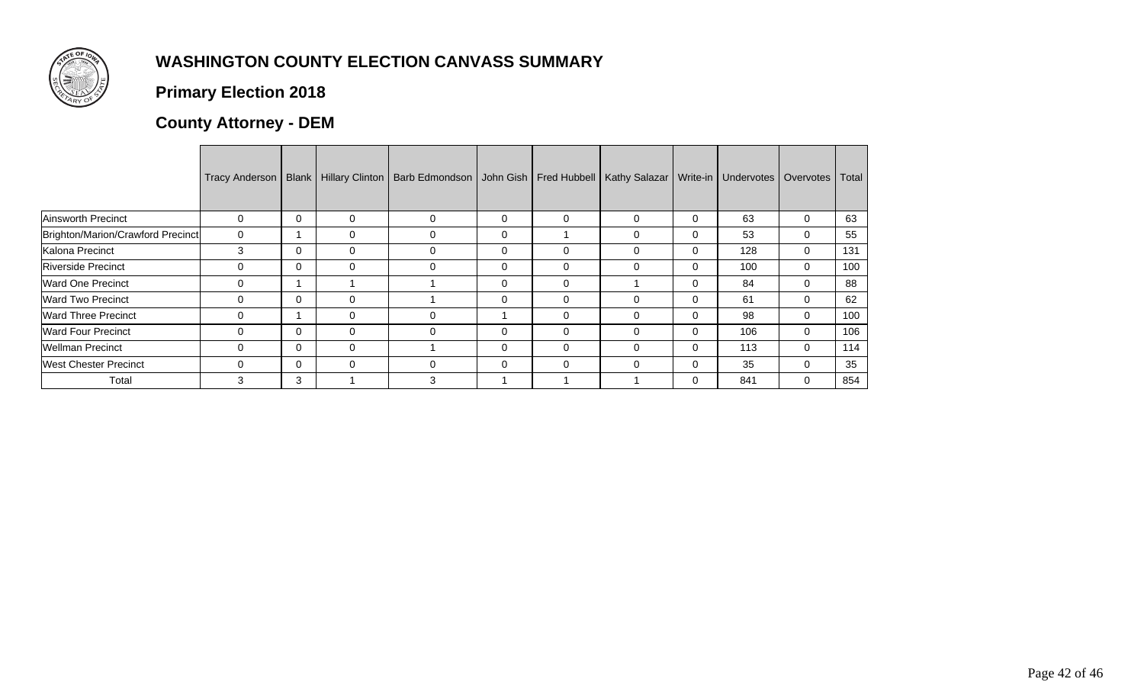

## **Primary Election 2018**

## **County Attorney - DEM**

|                                   |          |   |          | Tracy Anderson   Blank   Hillary Clinton   Barb Edmondson   John Gish   Fred Hubbell |             |          | Kathy Salazar   Write-in |          | Undervotes   Overvotes |   | Total |
|-----------------------------------|----------|---|----------|--------------------------------------------------------------------------------------|-------------|----------|--------------------------|----------|------------------------|---|-------|
| <b>Ainsworth Precinct</b>         | $\Omega$ | 0 | $\Omega$ | 0                                                                                    | $\mathbf 0$ | $\Omega$ | $\Omega$                 | 0        | 63                     | 0 | 63    |
| Brighton/Marion/Crawford Precinct | 0        |   |          |                                                                                      | 0           |          | $\Omega$                 |          | 53                     | 0 | 55    |
| Kalona Precinct                   | 3        | 0 | $\Omega$ | 0                                                                                    | $\mathbf 0$ | $\Omega$ | $\Omega$                 | $\Omega$ | 128                    | 0 | 131   |
| <b>Riverside Precinct</b>         | 0        | 0 |          | 0                                                                                    | 0           | $\Omega$ | $\Omega$                 |          | 100                    | 0 | 100   |
| Ward One Precinct                 | $\Omega$ |   |          |                                                                                      | $\mathbf 0$ | $\Omega$ |                          | $\Omega$ | 84                     | 0 | 88    |
| <b>Ward Two Precinct</b>          | 0        | 0 | 0        |                                                                                      | 0           | $\Omega$ | 0                        | 0        | 61                     | 0 | 62    |
| <b>Ward Three Precinct</b>        | $\Omega$ |   | 0        | 0                                                                                    |             | $\Omega$ | $\Omega$                 | $\Omega$ | 98                     | 0 | 100   |
| <b>Ward Four Precinct</b>         | 0        | 0 | 0        | 0                                                                                    | 0           | $\Omega$ | $\Omega$                 | $\Omega$ | 106                    | 0 | 106   |
| <b>Wellman Precinct</b>           | $\Omega$ | 0 | $\Omega$ |                                                                                      | 0           | $\Omega$ | $\Omega$                 | $\Omega$ | 113                    | 0 | 114   |
| <b>West Chester Precinct</b>      | 0        | 0 | 0        | 0                                                                                    | 0           | 0        | 0                        | 0        | 35                     | 0 | 35    |
| Total                             | 3        | 3 |          | 3                                                                                    |             |          |                          | 0        | 841                    | 0 | 854   |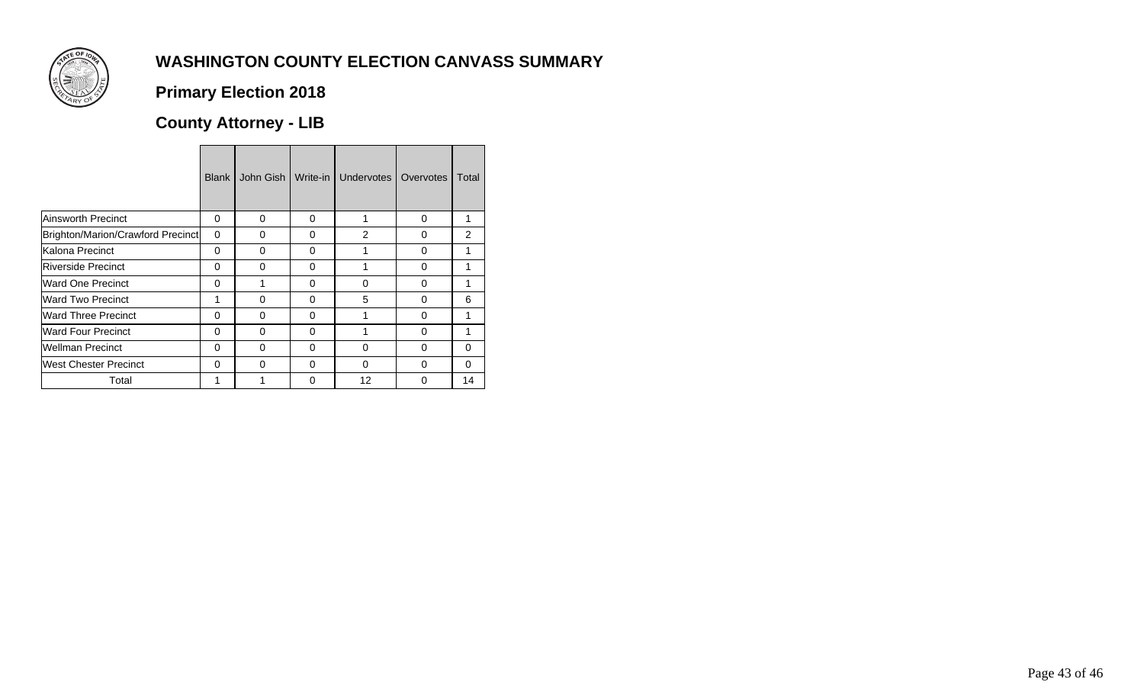

## **Primary Election 2018**

## **County Attorney - LIB**

|                                   | <b>Blank</b> | John Gish | Write-in | Undervotes | Overvotes | Total         |
|-----------------------------------|--------------|-----------|----------|------------|-----------|---------------|
| <b>Ainsworth Precinct</b>         | 0            | $\Omega$  | 0        |            | 0         |               |
| Brighton/Marion/Crawford Precinct | $\Omega$     | $\Omega$  | 0        | 2          | 0         | $\mathcal{P}$ |
| Kalona Precinct                   | 0            | $\Omega$  | 0        |            | 0         |               |
| <b>Riverside Precinct</b>         | $\Omega$     | $\Omega$  | 0        |            | $\Omega$  |               |
| <b>Ward One Precinct</b>          | 0            |           | 0        | 0          | 0         |               |
| <b>Ward Two Precinct</b>          | 1            | $\Omega$  | $\Omega$ | 5          | $\Omega$  | 6             |
| <b>Ward Three Precinct</b>        | 0            | $\Omega$  | 0        |            | 0         |               |
| <b>Ward Four Precinct</b>         | $\Omega$     | $\Omega$  | 0        |            | $\Omega$  |               |
| <b>Wellman Precinct</b>           | 0            | $\Omega$  | 0        | 0          | 0         | 0             |
| West Chester Precinct             | $\Omega$     | $\Omega$  | $\Omega$ | $\Omega$   | $\Omega$  | $\Omega$      |
| Total                             |              |           | O)       | 12         | 0         | 14            |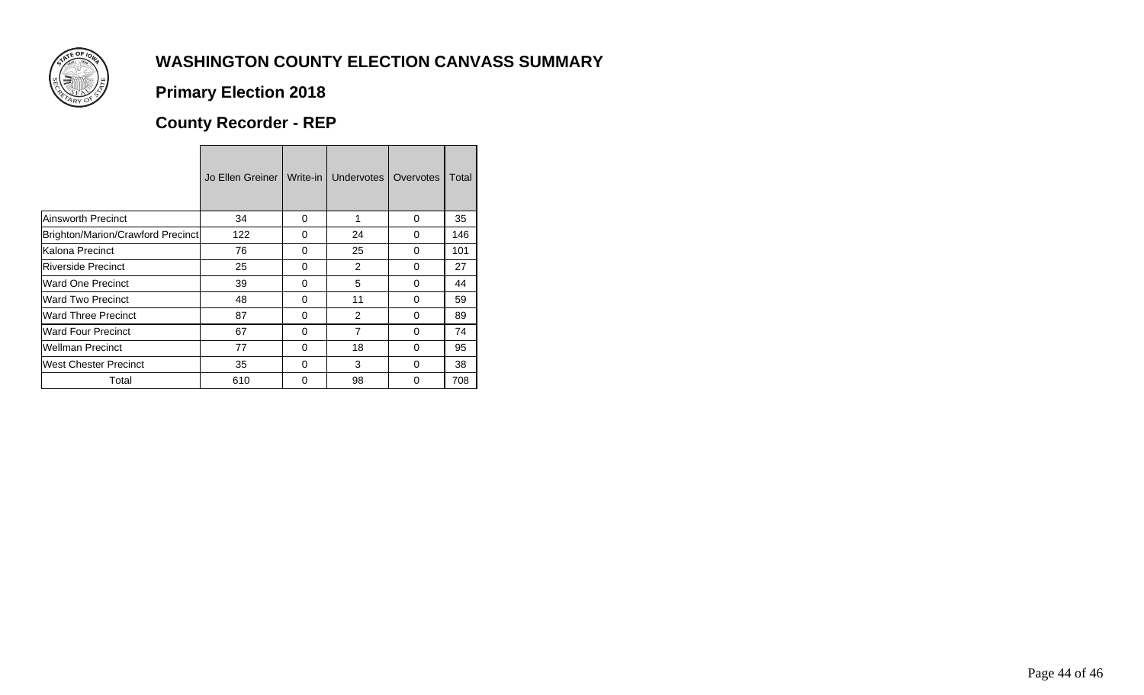

## **Primary Election 2018**

# **County Recorder - REP**

|                                   | Jo Ellen Greiner I | Write-in | Undervotes     | Overvotes | Total |
|-----------------------------------|--------------------|----------|----------------|-----------|-------|
| Ainsworth Precinct                | 34                 | 0        | 1              | 0         | 35    |
| Brighton/Marion/Crawford Precinct | 122                | $\Omega$ | 24             | $\Omega$  | 146   |
| lKalona Precinct                  | 76                 | 0        | 25             | 0         | 101   |
| Riverside Precinct                | 25                 | $\Omega$ | $\mathcal{P}$  | $\Omega$  | 27    |
| Ward One Precinct                 | 39                 | 0        | 5              | 0         | 44    |
| Ward Two Precinct                 | 48                 | $\Omega$ | 11             | $\Omega$  | 59    |
| <b>Ward Three Precinct</b>        | 87                 | 0        | 2              | $\Omega$  | 89    |
| Ward Four Precinct                | 67                 | $\Omega$ | $\overline{7}$ | $\Omega$  | 74    |
| <b>Wellman Precinct</b>           | 77                 | 0        | 18             | $\Omega$  | 95    |
| lWest Chester Precinct            | 35                 | O        | 3              | O         | 38    |
| Total                             | 610                | O        | 98             | 0         | 708   |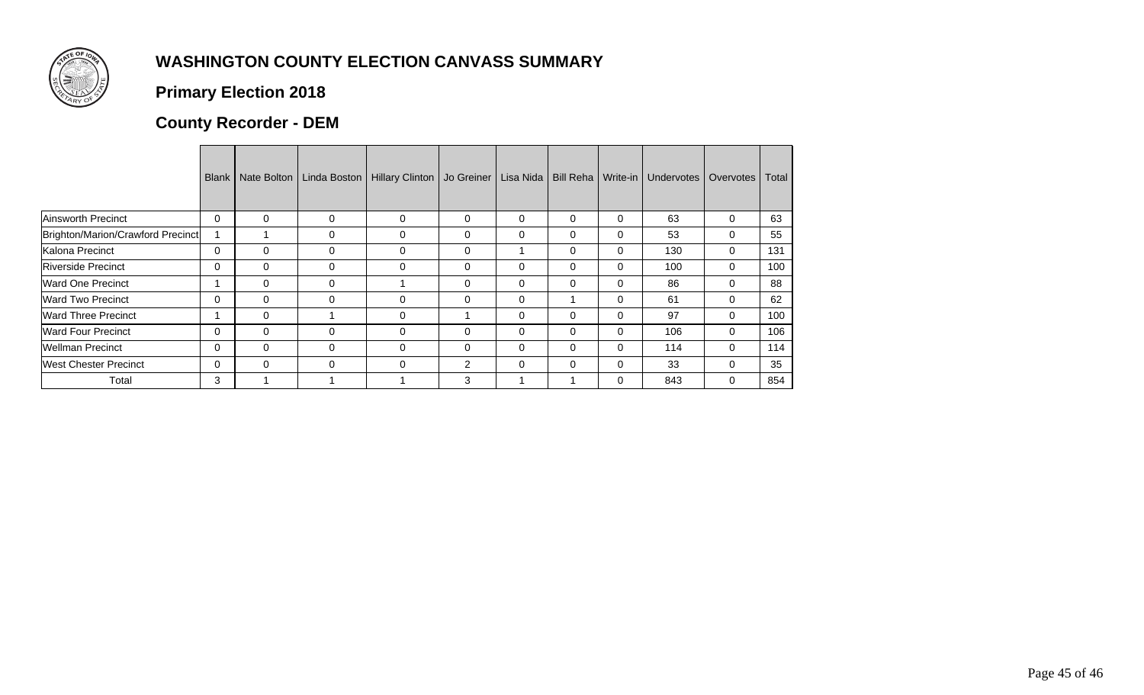

## **Primary Election 2018**

## **County Recorder - DEM**

|                                   | <b>Blank</b> | Nate Bolton | Linda Boston | Hillary Clinton | Jo Greiner | Lisa Nida | <b>Bill Reha</b> | Write-in       | <b>Undervotes</b> | Overvotes | Total |
|-----------------------------------|--------------|-------------|--------------|-----------------|------------|-----------|------------------|----------------|-------------------|-----------|-------|
| Ainsworth Precinct                | 0            | 0           | 0            | 0               | 0          | 0         | 0                | 0              | 63                | 0         | 63    |
| Brighton/Marion/Crawford Precinct |              |             | 0            | 0               | 0          | 0         | 0                | $\Omega$       | 53                | 0         | 55    |
| Kalona Precinct                   | 0            | $\Omega$    | 0            | $\Omega$        | 0          |           | 0                | $\Omega$       | 130               | 0         | 131   |
| <b>Riverside Precinct</b>         | 0            | $\Omega$    | 0            | 0               | $\Omega$   | 0         | 0                | $\Omega$       | 100               | 0         | 100   |
| Ward One Precinct                 |              | $\Omega$    | 0            |                 | $\Omega$   | $\Omega$  | 0                | $\Omega$       | 86                | 0         | 88    |
| <b>Ward Two Precinct</b>          | 0            | $\Omega$    | 0            | $\Omega$        | $\Omega$   | $\Omega$  |                  | $\Omega$       | 61                |           | 62    |
| <b>Ward Three Precinct</b>        |              | $\Omega$    |              | $\Omega$        |            | $\Omega$  | 0                | $\Omega$       | 97                | 0         | 100   |
| <b>Ward Four Precinct</b>         | 0            | $\Omega$    | 0            | $\Omega$        | 0          | $\Omega$  | 0                | 0              | 106               | 0         | 106   |
| <b>Wellman Precinct</b>           | 0            | $\Omega$    | $\Omega$     | $\Omega$        | 0          | $\Omega$  | 0                | $\Omega$       | 114               | $\Omega$  | 114   |
| <b>West Chester Precinct</b>      | 0            | $\Omega$    | 0            | $\Omega$        | 2          | 0         | 0                | $\overline{0}$ | 33                |           | 35    |
| Total                             | 3            |             |              |                 | 3          |           |                  | $\Omega$       | 843               | 0         | 854   |